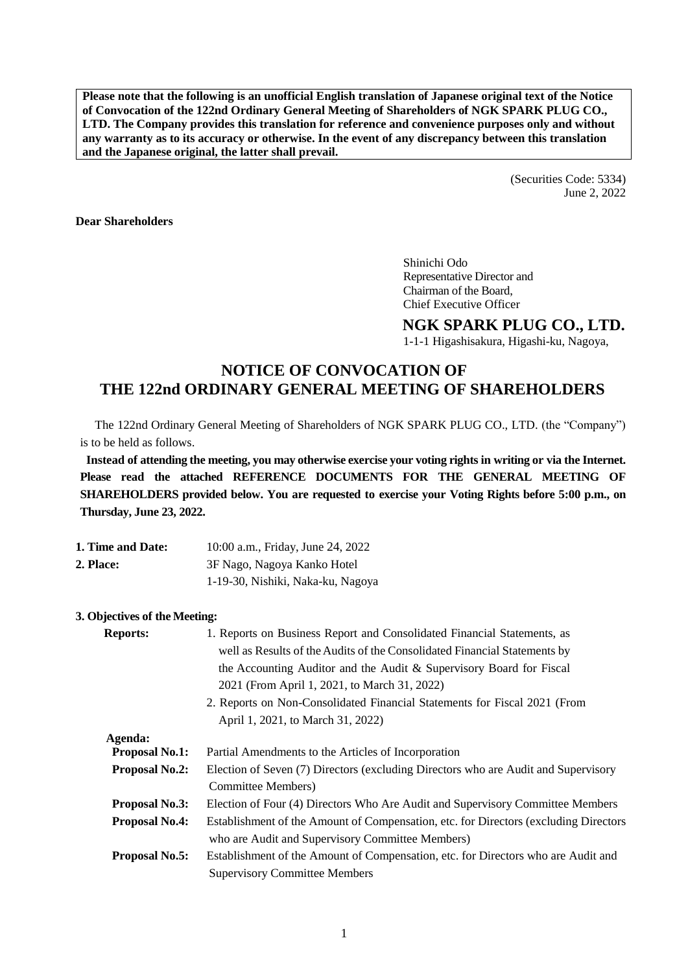**Please note that the following is an unofficial English translation of Japanese original text of the Notice of Convocation of the 122nd Ordinary General Meeting of Shareholders of NGK SPARK PLUG CO., LTD. The Company provides this translation for reference and convenience purposes only and without any warranty as to its accuracy or otherwise. In the event of any discrepancy between this translation and the Japanese original, the latter shall prevail.**

> (Securities Code: 5334) June 2, 2022

**Dear Shareholders**

Shinichi Odo Representative Director and Chairman of the Board, Chief Executive Officer

## **NGK SPARK PLUG CO., LTD.**

1-1-1 Higashisakura, Higashi-ku, Nagoya,

# **NOTICE OF CONVOCATION OF THE 122nd ORDINARY GENERAL MEETING OF SHAREHOLDERS**

The 122nd Ordinary General Meeting of Shareholders of NGK SPARK PLUG CO., LTD. (the "Company") is to be held as follows.

**Instead of attending the meeting, you may otherwise exercise your voting rights in writing or via the Internet. Please read the attached REFERENCE DOCUMENTS FOR THE GENERAL MEETING OF SHAREHOLDERS provided below. You are requested to exercise your Voting Rights before 5:00 p.m., on Thursday, June 23, 2022.**

| 1. Time and Date: | 10:00 a.m., Friday, June 24, 2022 |
|-------------------|-----------------------------------|
| 2. Place:         | 3F Nago, Nagoya Kanko Hotel       |
|                   | 1-19-30, Nishiki, Naka-ku, Nagoya |

#### **3. Objectives of the Meeting:**

| <b>Reports:</b>       | 1. Reports on Business Report and Consolidated Financial Statements, as              |
|-----------------------|--------------------------------------------------------------------------------------|
|                       | well as Results of the Audits of the Consolidated Financial Statements by            |
|                       | the Accounting Auditor and the Audit & Supervisory Board for Fiscal                  |
|                       | 2021 (From April 1, 2021, to March 31, 2022)                                         |
|                       | 2. Reports on Non-Consolidated Financial Statements for Fiscal 2021 (From            |
|                       | April 1, 2021, to March 31, 2022)                                                    |
| Agenda:               |                                                                                      |
| <b>Proposal No.1:</b> | Partial Amendments to the Articles of Incorporation                                  |
| <b>Proposal No.2:</b> | Election of Seven (7) Directors (excluding Directors who are Audit and Supervisory   |
|                       | Committee Members)                                                                   |
| <b>Proposal No.3:</b> | Election of Four (4) Directors Who Are Audit and Supervisory Committee Members       |
| <b>Proposal No.4:</b> | Establishment of the Amount of Compensation, etc. for Directors (excluding Directors |
|                       | who are Audit and Supervisory Committee Members)                                     |
| <b>Proposal No.5:</b> | Establishment of the Amount of Compensation, etc. for Directors who are Audit and    |
|                       | <b>Supervisory Committee Members</b>                                                 |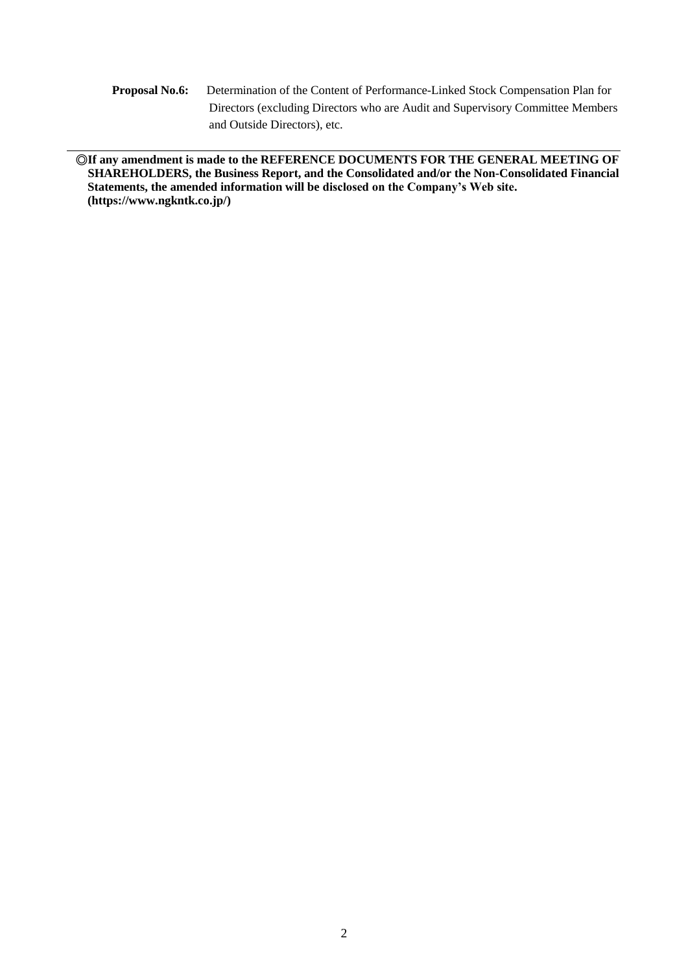**Proposal No.6:** Determination of the Content of Performance-Linked Stock Compensation Plan for Directors (excluding Directors who are Audit and Supervisory Committee Members and Outside Directors), etc.

**◎If any amendment is made to the REFERENCE DOCUMENTS FOR THE GENERAL MEETING OF SHAREHOLDERS, the Business Report, and the Consolidated and/or the Non-Consolidated Financial Statements, the amended information will be disclosed on the Company's Web site. [\(https://www.ngkntk.co.jp/\)](http://www.ngkntk.co.jp/)**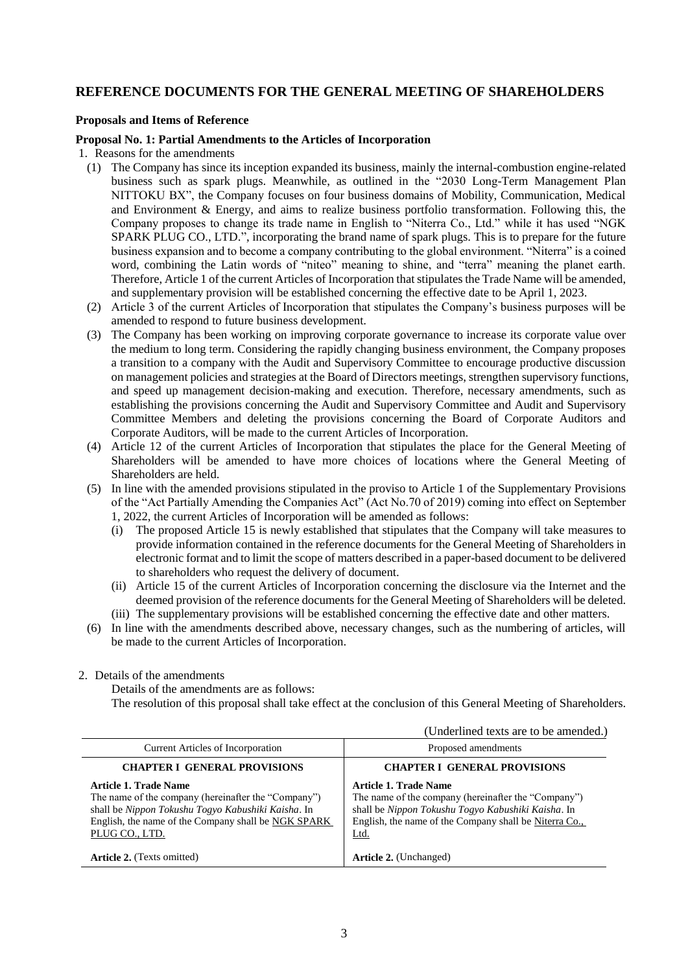## **REFERENCE DOCUMENTS FOR THE GENERAL MEETING OF SHAREHOLDERS**

#### **Proposals and Items of Reference**

#### **Proposal No. 1: Partial Amendments to the Articles of Incorporation**

1. Reasons for the amendments

- (1) The Company has since its inception expanded its business, mainly the internal-combustion engine-related business such as spark plugs. Meanwhile, as outlined in the "2030 Long-Term Management Plan NITTOKU BX", the Company focuses on four business domains of Mobility, Communication, Medical and Environment & Energy, and aims to realize business portfolio transformation. Following this, the Company proposes to change its trade name in English to "Niterra Co., Ltd." while it has used "NGK SPARK PLUG CO., LTD.", incorporating the brand name of spark plugs. This is to prepare for the future business expansion and to become a company contributing to the global environment. "Niterra" is a coined word, combining the Latin words of "niteo" meaning to shine, and "terra" meaning the planet earth. Therefore, Article 1 of the current Articles of Incorporation that stipulates the Trade Name will be amended, and supplementary provision will be established concerning the effective date to be April 1, 2023.
- (2) Article 3 of the current Articles of Incorporation that stipulates the Company's business purposes will be amended to respond to future business development.
- (3) The Company has been working on improving corporate governance to increase its corporate value over the medium to long term. Considering the rapidly changing business environment, the Company proposes a transition to a company with the Audit and Supervisory Committee to encourage productive discussion on management policies and strategies at the Board of Directors meetings, strengthen supervisory functions, and speed up management decision-making and execution. Therefore, necessary amendments, such as establishing the provisions concerning the Audit and Supervisory Committee and Audit and Supervisory Committee Members and deleting the provisions concerning the Board of Corporate Auditors and Corporate Auditors, will be made to the current Articles of Incorporation.
- (4) Article 12 of the current Articles of Incorporation that stipulates the place for the General Meeting of Shareholders will be amended to have more choices of locations where the General Meeting of Shareholders are held.
- (5) In line with the amended provisions stipulated in the proviso to Article 1 of the Supplementary Provisions of the "Act Partially Amending the Companies Act" (Act No.70 of 2019) coming into effect on September 1, 2022, the current Articles of Incorporation will be amended as follows:
	- (i) The proposed Article 15 is newly established that stipulates that the Company will take measures to provide information contained in the reference documents for the General Meeting of Shareholders in electronic format and to limit the scope of matters described in a paper-based document to be delivered to shareholders who request the delivery of document.
	- (ii) Article 15 of the current Articles of Incorporation concerning the disclosure via the Internet and the deemed provision of the reference documents for the General Meeting of Shareholders will be deleted. (iii) The supplementary provisions will be established concerning the effective date and other matters.
- (6) In line with the amendments described above, necessary changes, such as the numbering of articles, will be made to the current Articles of Incorporation.

## 2. Details of the amendments

Details of the amendments are as follows:

The resolution of this proposal shall take effect at the conclusion of this General Meeting of Shareholders.

|                                                                                                                                                                                                                    | (Underlined texts are to be amended.)                                                                                                                                                                |
|--------------------------------------------------------------------------------------------------------------------------------------------------------------------------------------------------------------------|------------------------------------------------------------------------------------------------------------------------------------------------------------------------------------------------------|
| <b>Current Articles of Incorporation</b>                                                                                                                                                                           | Proposed amendments                                                                                                                                                                                  |
| <b>CHAPTER I GENERAL PROVISIONS</b>                                                                                                                                                                                | <b>CHAPTER I GENERAL PROVISIONS</b>                                                                                                                                                                  |
| <b>Article 1. Trade Name</b><br>The name of the company (hereinafter the "Company")<br>shall be Nippon Tokushu Togyo Kabushiki Kaisha. In<br>English, the name of the Company shall be NGK SPARK<br>PLUG CO., LTD. | Article 1. Trade Name<br>The name of the company (hereinafter the "Company")<br>shall be Nippon Tokushu Togyo Kabushiki Kaisha. In<br>English, the name of the Company shall be Niterra Co.,<br>Ltd. |
| <b>Article 2.</b> (Texts omitted)                                                                                                                                                                                  | <b>Article 2.</b> (Unchanged)                                                                                                                                                                        |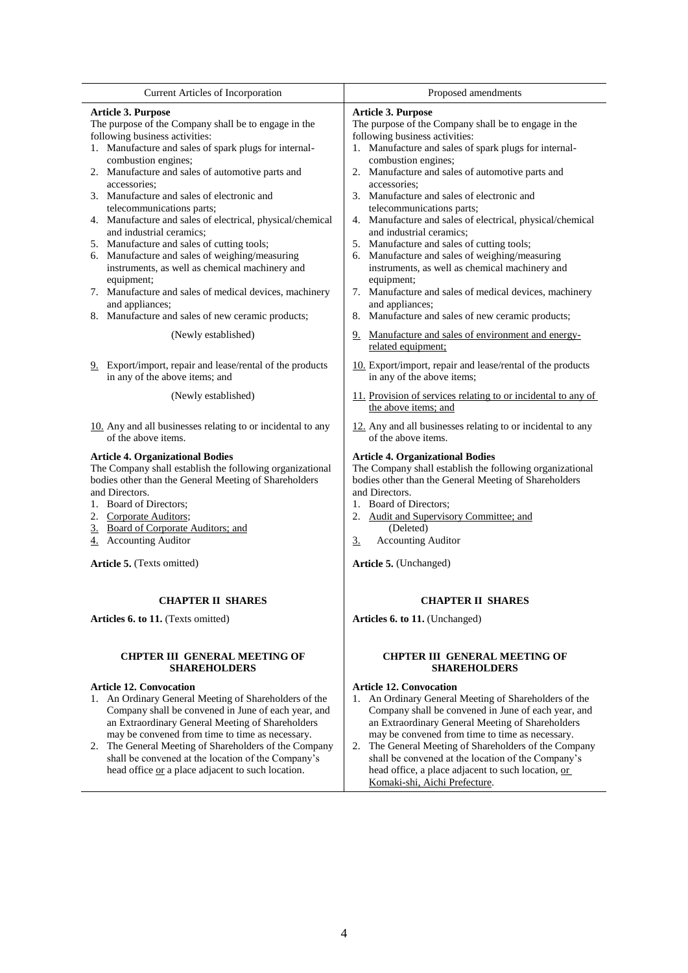| Current Articles of Incorporation                                                                                                                                                                                                                                                                  | Proposed amendments                                                                                                                                                                                                                                                                                        |  |
|----------------------------------------------------------------------------------------------------------------------------------------------------------------------------------------------------------------------------------------------------------------------------------------------------|------------------------------------------------------------------------------------------------------------------------------------------------------------------------------------------------------------------------------------------------------------------------------------------------------------|--|
|                                                                                                                                                                                                                                                                                                    |                                                                                                                                                                                                                                                                                                            |  |
| Article 3. Purpose                                                                                                                                                                                                                                                                                 | Article 3. Purpose                                                                                                                                                                                                                                                                                         |  |
| The purpose of the Company shall be to engage in the                                                                                                                                                                                                                                               | The purpose of the Company shall be to engage in the                                                                                                                                                                                                                                                       |  |
| following business activities:                                                                                                                                                                                                                                                                     | following business activities:                                                                                                                                                                                                                                                                             |  |
| 1. Manufacture and sales of spark plugs for internal-                                                                                                                                                                                                                                              | 1. Manufacture and sales of spark plugs for internal-                                                                                                                                                                                                                                                      |  |
| combustion engines;                                                                                                                                                                                                                                                                                | combustion engines;                                                                                                                                                                                                                                                                                        |  |
| 2. Manufacture and sales of automotive parts and                                                                                                                                                                                                                                                   | 2. Manufacture and sales of automotive parts and                                                                                                                                                                                                                                                           |  |
| accessories:                                                                                                                                                                                                                                                                                       | accessories:                                                                                                                                                                                                                                                                                               |  |
| 3. Manufacture and sales of electronic and                                                                                                                                                                                                                                                         | 3. Manufacture and sales of electronic and                                                                                                                                                                                                                                                                 |  |
| telecommunications parts;                                                                                                                                                                                                                                                                          | telecommunications parts;                                                                                                                                                                                                                                                                                  |  |
| 4. Manufacture and sales of electrical, physical/chemical                                                                                                                                                                                                                                          | 4. Manufacture and sales of electrical, physical/chemical                                                                                                                                                                                                                                                  |  |
| and industrial ceramics;                                                                                                                                                                                                                                                                           | and industrial ceramics;                                                                                                                                                                                                                                                                                   |  |
| 5. Manufacture and sales of cutting tools;                                                                                                                                                                                                                                                         | 5. Manufacture and sales of cutting tools;                                                                                                                                                                                                                                                                 |  |
| 6. Manufacture and sales of weighing/measuring                                                                                                                                                                                                                                                     | 6. Manufacture and sales of weighing/measuring                                                                                                                                                                                                                                                             |  |
| instruments, as well as chemical machinery and                                                                                                                                                                                                                                                     | instruments, as well as chemical machinery and                                                                                                                                                                                                                                                             |  |
| equipment;                                                                                                                                                                                                                                                                                         | equipment;                                                                                                                                                                                                                                                                                                 |  |
| 7. Manufacture and sales of medical devices, machinery                                                                                                                                                                                                                                             | 7. Manufacture and sales of medical devices, machinery                                                                                                                                                                                                                                                     |  |
| and appliances;                                                                                                                                                                                                                                                                                    | and appliances;                                                                                                                                                                                                                                                                                            |  |
| 8. Manufacture and sales of new ceramic products;                                                                                                                                                                                                                                                  | 8. Manufacture and sales of new ceramic products;                                                                                                                                                                                                                                                          |  |
| (Newly established)                                                                                                                                                                                                                                                                                | 9. Manufacture and sales of environment and energy-<br>related equipment;                                                                                                                                                                                                                                  |  |
| 9. Export/import, repair and lease/rental of the products                                                                                                                                                                                                                                          | 10. Export/import, repair and lease/rental of the products                                                                                                                                                                                                                                                 |  |
| in any of the above items; and                                                                                                                                                                                                                                                                     | in any of the above items;                                                                                                                                                                                                                                                                                 |  |
| (Newly established)                                                                                                                                                                                                                                                                                | 11. Provision of services relating to or incidental to any of<br>the above items; and                                                                                                                                                                                                                      |  |
| 10. Any and all businesses relating to or incidental to any                                                                                                                                                                                                                                        | 12. Any and all businesses relating to or incidental to any                                                                                                                                                                                                                                                |  |
| of the above items.                                                                                                                                                                                                                                                                                | of the above items.                                                                                                                                                                                                                                                                                        |  |
| <b>Article 4. Organizational Bodies</b><br>The Company shall establish the following organizational<br>bodies other than the General Meeting of Shareholders<br>and Directors.<br>1. Board of Directors;<br>2. Corporate Auditors;<br>3. Board of Corporate Auditors; and<br>4. Accounting Auditor | <b>Article 4. Organizational Bodies</b><br>The Company shall establish the following organizational<br>bodies other than the General Meeting of Shareholders<br>and Directors.<br>1. Board of Directors;<br>2. Audit and Supervisory Committee; and<br>(Deleted)<br><b>Accounting Auditor</b><br><u>3.</u> |  |
| Article 5. (Texts omitted)                                                                                                                                                                                                                                                                         | Article 5. (Unchanged)                                                                                                                                                                                                                                                                                     |  |
| <b>CHAPTER II SHARES</b>                                                                                                                                                                                                                                                                           | <b>CHAPTER II SHARES</b>                                                                                                                                                                                                                                                                                   |  |
| Articles 6. to 11. (Texts omitted)                                                                                                                                                                                                                                                                 | Articles 6. to 11. (Unchanged)                                                                                                                                                                                                                                                                             |  |
| <b>CHPTER III GENERAL MEETING OF</b>                                                                                                                                                                                                                                                               | <b>CHPTER III GENERAL MEETING OF</b>                                                                                                                                                                                                                                                                       |  |
| <b>SHAREHOLDERS</b>                                                                                                                                                                                                                                                                                | <b>SHAREHOLDERS</b>                                                                                                                                                                                                                                                                                        |  |
| <b>Article 12. Convocation</b>                                                                                                                                                                                                                                                                     | <b>Article 12. Convocation</b>                                                                                                                                                                                                                                                                             |  |
| 1. An Ordinary General Meeting of Shareholders of the                                                                                                                                                                                                                                              | 1. An Ordinary General Meeting of Shareholders of the                                                                                                                                                                                                                                                      |  |
| Company shall be convened in June of each year, and                                                                                                                                                                                                                                                | Company shall be convened in June of each year, and                                                                                                                                                                                                                                                        |  |
| an Extraordinary General Meeting of Shareholders                                                                                                                                                                                                                                                   | an Extraordinary General Meeting of Shareholders                                                                                                                                                                                                                                                           |  |
| may be convened from time to time as necessary.                                                                                                                                                                                                                                                    | may be convened from time to time as necessary.                                                                                                                                                                                                                                                            |  |

- 2. The General Meeting of Shareholders of the Company shall be convened at the location of the Company's head office or a place adjacent to such location.
- 2. The General Meeting of Shareholders of the Company shall be convened at the location of the Company's head office, a place adjacent to such location, or Komaki-shi, Aichi Prefecture.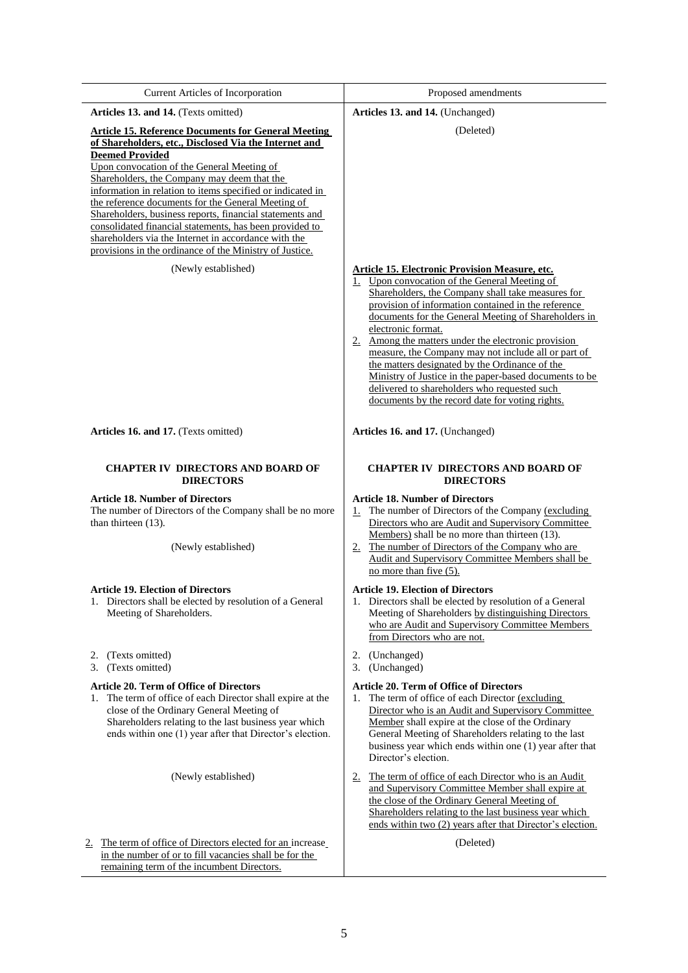| Current Articles of Incorporation                                                                                                                                                                                                                                                                                                                                                                                                                                                                                                                                                                                               | Proposed amendments                                                                                                                                                                                                                                                                                                                                                                                                                                                                                                                                                                                                                        |
|---------------------------------------------------------------------------------------------------------------------------------------------------------------------------------------------------------------------------------------------------------------------------------------------------------------------------------------------------------------------------------------------------------------------------------------------------------------------------------------------------------------------------------------------------------------------------------------------------------------------------------|--------------------------------------------------------------------------------------------------------------------------------------------------------------------------------------------------------------------------------------------------------------------------------------------------------------------------------------------------------------------------------------------------------------------------------------------------------------------------------------------------------------------------------------------------------------------------------------------------------------------------------------------|
| Articles 13. and 14. (Texts omitted)                                                                                                                                                                                                                                                                                                                                                                                                                                                                                                                                                                                            | Articles 13. and 14. (Unchanged)                                                                                                                                                                                                                                                                                                                                                                                                                                                                                                                                                                                                           |
| <b>Article 15. Reference Documents for General Meeting</b><br>of Shareholders, etc., Disclosed Via the Internet and<br><b>Deemed Provided</b><br>Upon convocation of the General Meeting of<br>Shareholders, the Company may deem that the<br>information in relation to items specified or indicated in<br>the reference documents for the General Meeting of<br>Shareholders, business reports, financial statements and<br>consolidated financial statements, has been provided to<br>shareholders via the Internet in accordance with the<br>provisions in the ordinance of the Ministry of Justice.<br>(Newly established) | (Deleted)<br><b>Article 15. Electronic Provision Measure, etc.</b><br>1. Upon convocation of the General Meeting of<br>Shareholders, the Company shall take measures for<br>provision of information contained in the reference<br>documents for the General Meeting of Shareholders in<br>electronic format.<br>2. Among the matters under the electronic provision<br>measure, the Company may not include all or part of<br>the matters designated by the Ordinance of the<br>Ministry of Justice in the paper-based documents to be<br>delivered to shareholders who requested such<br>documents by the record date for voting rights. |
| Articles 16. and 17. (Texts omitted)                                                                                                                                                                                                                                                                                                                                                                                                                                                                                                                                                                                            | Articles 16. and 17. (Unchanged)                                                                                                                                                                                                                                                                                                                                                                                                                                                                                                                                                                                                           |
| <b>CHAPTER IV DIRECTORS AND BOARD OF</b><br><b>DIRECTORS</b>                                                                                                                                                                                                                                                                                                                                                                                                                                                                                                                                                                    | <b>CHAPTER IV DIRECTORS AND BOARD OF</b><br><b>DIRECTORS</b>                                                                                                                                                                                                                                                                                                                                                                                                                                                                                                                                                                               |
| <b>Article 18. Number of Directors</b><br>The number of Directors of the Company shall be no more<br>than thirteen (13).<br>(Newly established)                                                                                                                                                                                                                                                                                                                                                                                                                                                                                 | <b>Article 18. Number of Directors</b><br>The number of Directors of the Company (excluding<br>1.<br>Directors who are Audit and Supervisory Committee<br>Members) shall be no more than thirteen (13).<br>2. The number of Directors of the Company who are<br>Audit and Supervisory Committee Members shall be<br>no more than five (5).                                                                                                                                                                                                                                                                                                 |
| <b>Article 19. Election of Directors</b><br>1. Directors shall be elected by resolution of a General<br>Meeting of Shareholders.                                                                                                                                                                                                                                                                                                                                                                                                                                                                                                | <b>Article 19. Election of Directors</b><br>1. Directors shall be elected by resolution of a General<br>Meeting of Shareholders by distinguishing Directors<br>who are Audit and Supervisory Committee Members<br>from Directors who are not.                                                                                                                                                                                                                                                                                                                                                                                              |
| (Texts omitted)<br>2.<br>(Texts omitted)<br>3.                                                                                                                                                                                                                                                                                                                                                                                                                                                                                                                                                                                  | (Unchanged)<br>2.<br>(Unchanged)<br>3.                                                                                                                                                                                                                                                                                                                                                                                                                                                                                                                                                                                                     |
| <b>Article 20. Term of Office of Directors</b><br>The term of office of each Director shall expire at the<br>1.<br>close of the Ordinary General Meeting of<br>Shareholders relating to the last business year which<br>ends within one (1) year after that Director's election.                                                                                                                                                                                                                                                                                                                                                | <b>Article 20. Term of Office of Directors</b><br>The term of office of each Director (excluding<br>1.<br>Director who is an Audit and Supervisory Committee<br>Member shall expire at the close of the Ordinary<br>General Meeting of Shareholders relating to the last<br>business year which ends within one (1) year after that<br>Director's election.                                                                                                                                                                                                                                                                                |
| (Newly established)                                                                                                                                                                                                                                                                                                                                                                                                                                                                                                                                                                                                             | The term of office of each Director who is an Audit<br>2.<br>and Supervisory Committee Member shall expire at<br>the close of the Ordinary General Meeting of<br>Shareholders relating to the last business year which<br>ends within two (2) years after that Director's election.                                                                                                                                                                                                                                                                                                                                                        |
| The term of office of Directors elected for an increase<br>$\underline{2.}$<br>in the number of or to fill vacancies shall be for the<br>remaining term of the incumbent Directors.                                                                                                                                                                                                                                                                                                                                                                                                                                             | (Deleted)                                                                                                                                                                                                                                                                                                                                                                                                                                                                                                                                                                                                                                  |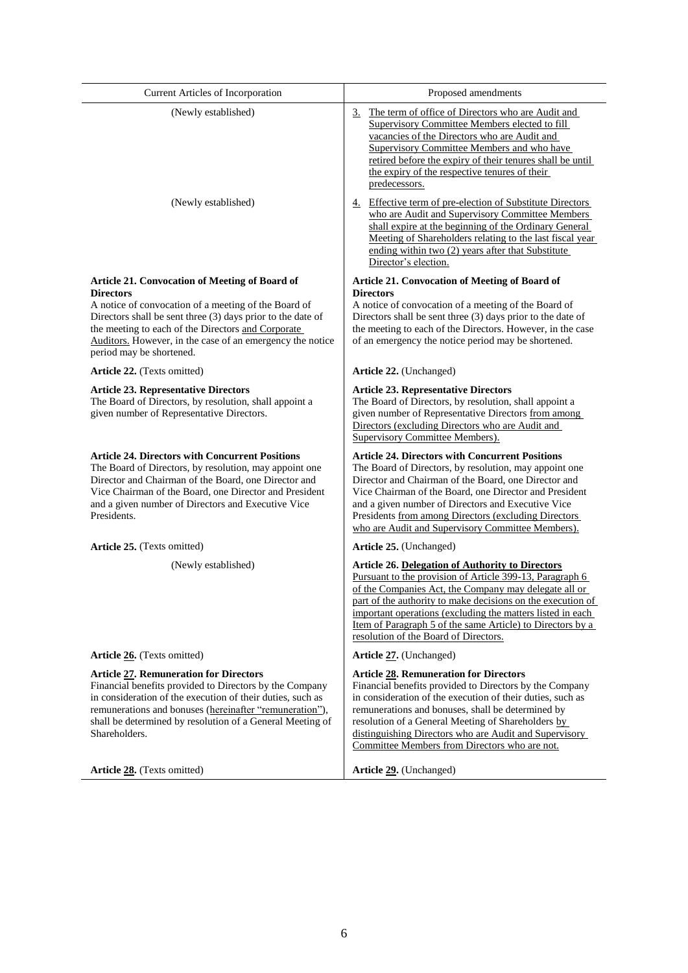| Current Articles of Incorporation                                                                                                                                                                                                                                                                               | Proposed amendments                                                                                                                                                                                                                                                                                                                                                                                                       |
|-----------------------------------------------------------------------------------------------------------------------------------------------------------------------------------------------------------------------------------------------------------------------------------------------------------------|---------------------------------------------------------------------------------------------------------------------------------------------------------------------------------------------------------------------------------------------------------------------------------------------------------------------------------------------------------------------------------------------------------------------------|
| (Newly established)                                                                                                                                                                                                                                                                                             | The term of office of Directors who are Audit and<br>3.<br>Supervisory Committee Members elected to fill<br>vacancies of the Directors who are Audit and<br><b>Supervisory Committee Members and who have</b><br>retired before the expiry of their tenures shall be until<br>the expiry of the respective tenures of their<br>predecessors.                                                                              |
| (Newly established)                                                                                                                                                                                                                                                                                             | 4. Effective term of pre-election of Substitute Directors<br>who are Audit and Supervisory Committee Members<br>shall expire at the beginning of the Ordinary General<br>Meeting of Shareholders relating to the last fiscal year<br>ending within two (2) years after that Substitute<br>Director's election.                                                                                                            |
| <b>Article 21. Convocation of Meeting of Board of</b>                                                                                                                                                                                                                                                           | <b>Article 21. Convocation of Meeting of Board of</b>                                                                                                                                                                                                                                                                                                                                                                     |
| <b>Directors</b><br>A notice of convocation of a meeting of the Board of<br>Directors shall be sent three (3) days prior to the date of<br>the meeting to each of the Directors and Corporate                                                                                                                   | <b>Directors</b><br>A notice of convocation of a meeting of the Board of<br>Directors shall be sent three (3) days prior to the date of<br>the meeting to each of the Directors. However, in the case                                                                                                                                                                                                                     |
| Auditors. However, in the case of an emergency the notice<br>period may be shortened.                                                                                                                                                                                                                           | of an emergency the notice period may be shortened.                                                                                                                                                                                                                                                                                                                                                                       |
| Article 22. (Texts omitted)                                                                                                                                                                                                                                                                                     | Article 22. (Unchanged)                                                                                                                                                                                                                                                                                                                                                                                                   |
| <b>Article 23. Representative Directors</b><br>The Board of Directors, by resolution, shall appoint a<br>given number of Representative Directors.                                                                                                                                                              | <b>Article 23. Representative Directors</b><br>The Board of Directors, by resolution, shall appoint a<br>given number of Representative Directors from among<br>Directors (excluding Directors who are Audit and<br><b>Supervisory Committee Members).</b>                                                                                                                                                                |
| <b>Article 24. Directors with Concurrent Positions</b><br>The Board of Directors, by resolution, may appoint one<br>Director and Chairman of the Board, one Director and<br>Vice Chairman of the Board, one Director and President<br>and a given number of Directors and Executive Vice<br>Presidents.         | <b>Article 24. Directors with Concurrent Positions</b><br>The Board of Directors, by resolution, may appoint one<br>Director and Chairman of the Board, one Director and<br>Vice Chairman of the Board, one Director and President<br>and a given number of Directors and Executive Vice<br>Presidents from among Directors (excluding Directors<br>who are Audit and Supervisory Committee Members).                     |
| Article 25. (Texts omitted)                                                                                                                                                                                                                                                                                     | Article 25. (Unchanged)                                                                                                                                                                                                                                                                                                                                                                                                   |
| (Newly established)                                                                                                                                                                                                                                                                                             | <b>Article 26. Delegation of Authority to Directors</b><br>Pursuant to the provision of Article 399-13, Paragraph 6<br>of the Companies Act, the Company may delegate all or<br>part of the authority to make decisions on the execution of<br>important operations (excluding the matters listed in each)<br><u>Item of Paragraph 5 of the same Article</u> ) to Directors by a<br>resolution of the Board of Directors. |
| Article 26. (Texts omitted)                                                                                                                                                                                                                                                                                     | Article 27. (Unchanged)                                                                                                                                                                                                                                                                                                                                                                                                   |
| <b>Article 27. Remuneration for Directors</b><br>Financial benefits provided to Directors by the Company<br>in consideration of the execution of their duties, such as<br>remunerations and bonuses (hereinafter "remuneration"),<br>shall be determined by resolution of a General Meeting of<br>Shareholders. | <b>Article 28. Remuneration for Directors</b><br>Financial benefits provided to Directors by the Company<br>in consideration of the execution of their duties, such as<br>remunerations and bonuses, shall be determined by<br>resolution of a General Meeting of Shareholders by<br>distinguishing Directors who are Audit and Supervisory<br>Committee Members from Directors who are not.                              |
| Article 28. (Texts omitted)                                                                                                                                                                                                                                                                                     | Article 29. (Unchanged)                                                                                                                                                                                                                                                                                                                                                                                                   |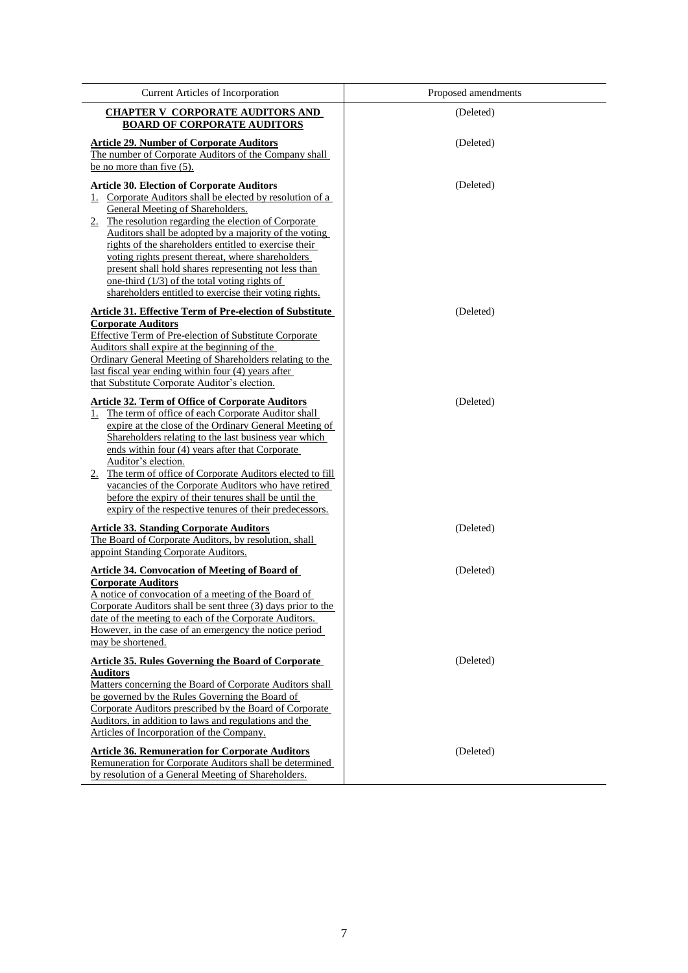| <b>Current Articles of Incorporation</b>                                                                                                                                                                                                                                                                                                                                                                                                                                                                                                                    | Proposed amendments |
|-------------------------------------------------------------------------------------------------------------------------------------------------------------------------------------------------------------------------------------------------------------------------------------------------------------------------------------------------------------------------------------------------------------------------------------------------------------------------------------------------------------------------------------------------------------|---------------------|
| <b>CHAPTER V CORPORATE AUDITORS AND</b><br><b>BOARD OF CORPORATE AUDITORS</b>                                                                                                                                                                                                                                                                                                                                                                                                                                                                               | (Deleted)           |
| <b>Article 29. Number of Corporate Auditors</b><br>The number of Corporate Auditors of the Company shall<br>be no more than five $(5)$ .                                                                                                                                                                                                                                                                                                                                                                                                                    | (Deleted)           |
| <b>Article 30. Election of Corporate Auditors</b><br>Corporate Auditors shall be elected by resolution of a<br>1.<br>General Meeting of Shareholders.<br>2. The resolution regarding the election of Corporate<br>Auditors shall be adopted by a majority of the voting<br>rights of the shareholders entitled to exercise their<br>voting rights present thereat, where shareholders<br>present shall hold shares representing not less than<br>one-third $(1/3)$ of the total voting rights of<br>shareholders entitled to exercise their voting rights.  | (Deleted)           |
| <b>Article 31. Effective Term of Pre-election of Substitute</b><br><b>Corporate Auditors</b><br><b>Effective Term of Pre-election of Substitute Corporate</b><br>Auditors shall expire at the beginning of the<br>Ordinary General Meeting of Shareholders relating to the<br>last fiscal year ending within four (4) years after<br>that Substitute Corporate Auditor's election.                                                                                                                                                                          | (Deleted)           |
| <b>Article 32. Term of Office of Corporate Auditors</b><br>The term of office of each Corporate Auditor shall<br>1.<br>expire at the close of the Ordinary General Meeting of<br>Shareholders relating to the last business year which<br>ends within four (4) years after that Corporate<br>Auditor's election.<br>2. The term of office of Corporate Auditors elected to fill<br>vacancies of the Corporate Auditors who have retired<br>before the expiry of their tenures shall be until the<br>expiry of the respective tenures of their predecessors. | (Deleted)           |
| <b>Article 33. Standing Corporate Auditors</b><br>The Board of Corporate Auditors, by resolution, shall<br>appoint Standing Corporate Auditors.                                                                                                                                                                                                                                                                                                                                                                                                             | (Deleted)           |
| <b>Article 34. Convocation of Meeting of Board of</b><br><b>Corporate Auditors</b><br>A notice of convocation of a meeting of the Board of<br>Corporate Auditors shall be sent three (3) days prior to the<br>date of the meeting to each of the Corporate Auditors.<br>However, in the case of an emergency the notice period<br>may be shortened.                                                                                                                                                                                                         | (Deleted)           |
| <b>Article 35. Rules Governing the Board of Corporate</b><br>Auditors<br>Matters concerning the Board of Corporate Auditors shall<br>be governed by the Rules Governing the Board of<br>Corporate Auditors prescribed by the Board of Corporate<br>Auditors, in addition to laws and regulations and the<br>Articles of Incorporation of the Company.                                                                                                                                                                                                       | (Deleted)           |
| <b>Article 36. Remuneration for Corporate Auditors</b><br>Remuneration for Corporate Auditors shall be determined<br>by resolution of a General Meeting of Shareholders.                                                                                                                                                                                                                                                                                                                                                                                    | (Deleted)           |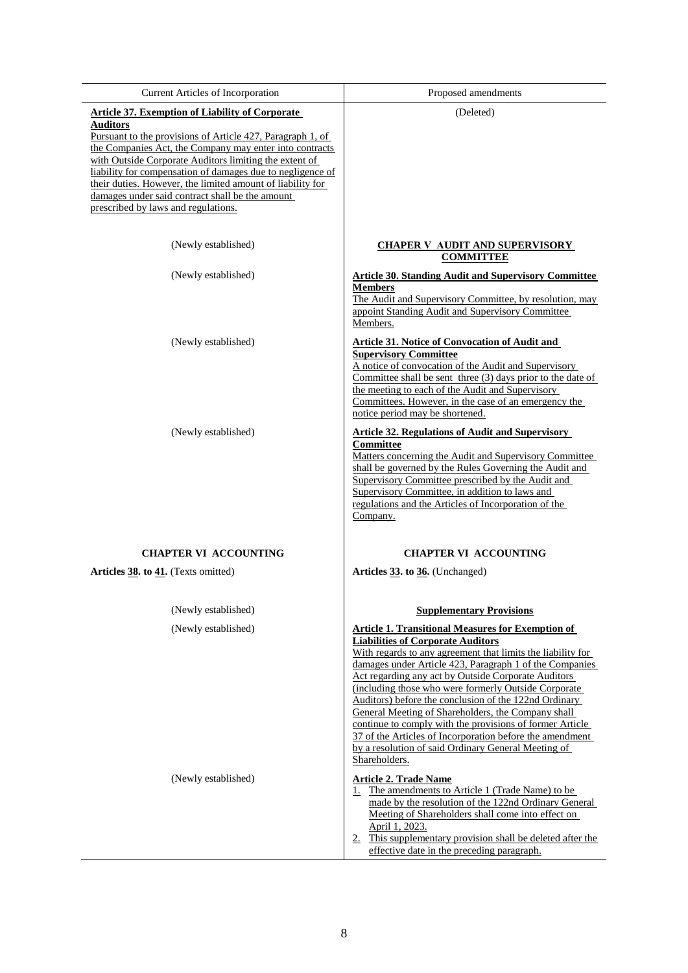| Current Articles of Incorporation                                                                                                                                                                                                                                                                                                                                                                                                                                                  | Proposed amendments                                                                                                                                                                                                                                                                                                                                                                                                                                                                                                                                                                                                                                           |
|------------------------------------------------------------------------------------------------------------------------------------------------------------------------------------------------------------------------------------------------------------------------------------------------------------------------------------------------------------------------------------------------------------------------------------------------------------------------------------|---------------------------------------------------------------------------------------------------------------------------------------------------------------------------------------------------------------------------------------------------------------------------------------------------------------------------------------------------------------------------------------------------------------------------------------------------------------------------------------------------------------------------------------------------------------------------------------------------------------------------------------------------------------|
| <b>Article 37. Exemption of Liability of Corporate</b><br>Auditors<br><u>Pursuant to the provisions of Article 427, Paragraph 1, of</u><br>the Companies Act, the Company may enter into contracts<br>with Outside Corporate Auditors limiting the extent of<br>liability for compensation of damages due to negligence of<br>their duties. However, the limited amount of liability for<br>damages under said contract shall be the amount<br>prescribed by laws and regulations. | (Deleted)                                                                                                                                                                                                                                                                                                                                                                                                                                                                                                                                                                                                                                                     |
| (Newly established)                                                                                                                                                                                                                                                                                                                                                                                                                                                                | <b>CHAPER V AUDIT AND SUPERVISORY</b><br><b>COMMITTEE</b>                                                                                                                                                                                                                                                                                                                                                                                                                                                                                                                                                                                                     |
| (Newly established)                                                                                                                                                                                                                                                                                                                                                                                                                                                                | <b>Article 30. Standing Audit and Supervisory Committee</b><br><b>Members</b><br>The Audit and Supervisory Committee, by resolution, may<br>appoint Standing Audit and Supervisory Committee<br>Members.                                                                                                                                                                                                                                                                                                                                                                                                                                                      |
| (Newly established)                                                                                                                                                                                                                                                                                                                                                                                                                                                                | <b>Article 31. Notice of Convocation of Audit and</b><br><b>Supervisory Committee</b><br>A notice of convocation of the Audit and Supervisory<br>Committee shall be sent three (3) days prior to the date of<br>the meeting to each of the Audit and Supervisory<br>Committees. However, in the case of an emergency the<br>notice period may be shortened.                                                                                                                                                                                                                                                                                                   |
| (Newly established)                                                                                                                                                                                                                                                                                                                                                                                                                                                                | <b>Article 32. Regulations of Audit and Supervisory</b><br>Committee<br>Matters concerning the Audit and Supervisory Committee<br>shall be governed by the Rules Governing the Audit and<br>Supervisory Committee prescribed by the Audit and<br>Supervisory Committee, in addition to laws and<br>regulations and the Articles of Incorporation of the<br>Company.                                                                                                                                                                                                                                                                                           |
| <b>CHAPTER VI ACCOUNTING</b>                                                                                                                                                                                                                                                                                                                                                                                                                                                       | <b>CHAPTER VI ACCOUNTING</b>                                                                                                                                                                                                                                                                                                                                                                                                                                                                                                                                                                                                                                  |
| Articles 38. to 41. (Texts omitted)                                                                                                                                                                                                                                                                                                                                                                                                                                                | Articles 33. to 36. (Unchanged)                                                                                                                                                                                                                                                                                                                                                                                                                                                                                                                                                                                                                               |
| (Newly established)                                                                                                                                                                                                                                                                                                                                                                                                                                                                | <b>Supplementary Provisions</b>                                                                                                                                                                                                                                                                                                                                                                                                                                                                                                                                                                                                                               |
| (Newly established)                                                                                                                                                                                                                                                                                                                                                                                                                                                                | <b>Article 1. Transitional Measures for Exemption of</b><br><b>Liabilities of Corporate Auditors</b><br>With regards to any agreement that limits the liability for<br>damages under Article 423, Paragraph 1 of the Companies<br>Act regarding any act by Outside Corporate Auditors<br>(including those who were formerly Outside Corporate)<br>Auditors) before the conclusion of the 122nd Ordinary<br>General Meeting of Shareholders, the Company shall<br>continue to comply with the provisions of former Article<br>37 of the Articles of Incorporation before the amendment<br>by a resolution of said Ordinary General Meeting of<br>Shareholders. |
| (Newly established)                                                                                                                                                                                                                                                                                                                                                                                                                                                                | <b>Article 2. Trade Name</b><br>1. The amendments to Article 1 (Trade Name) to be<br>made by the resolution of the 122nd Ordinary General<br>Meeting of Shareholders shall come into effect on<br>April 1, 2023.<br>2. This supplementary provision shall be deleted after the<br>effective date in the preceding paragraph.                                                                                                                                                                                                                                                                                                                                  |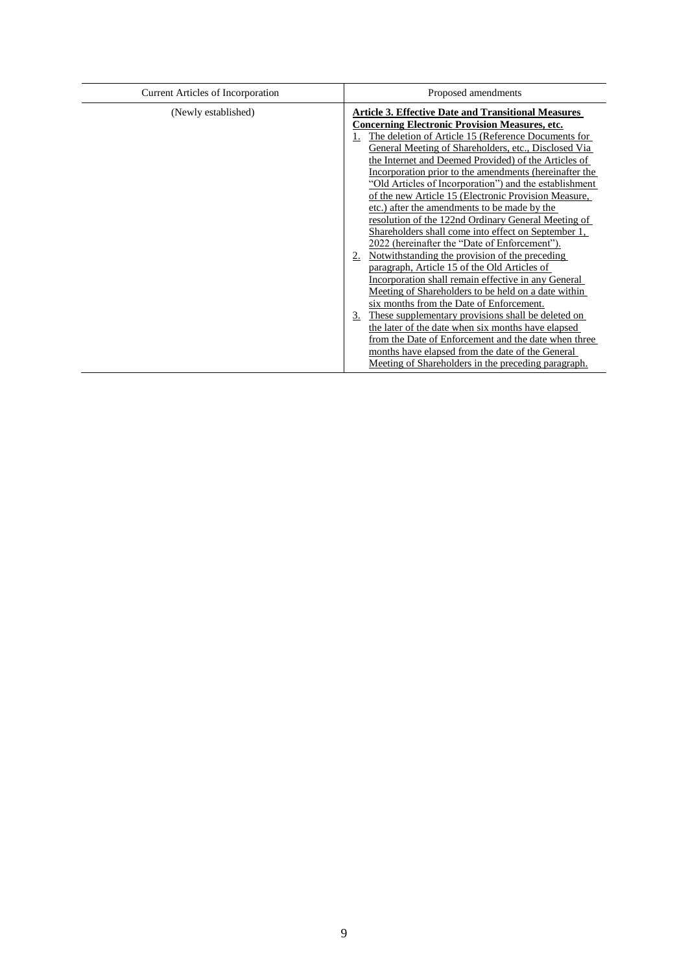| <b>Current Articles of Incorporation</b> | Proposed amendments                                                                                                                                                                                                                                                                                                                                                                                                                                                                                                                                                                                                                                                                                                                                                                                                                                                                                                                                                                                                                                                                                                                                                                                                                          |  |  |
|------------------------------------------|----------------------------------------------------------------------------------------------------------------------------------------------------------------------------------------------------------------------------------------------------------------------------------------------------------------------------------------------------------------------------------------------------------------------------------------------------------------------------------------------------------------------------------------------------------------------------------------------------------------------------------------------------------------------------------------------------------------------------------------------------------------------------------------------------------------------------------------------------------------------------------------------------------------------------------------------------------------------------------------------------------------------------------------------------------------------------------------------------------------------------------------------------------------------------------------------------------------------------------------------|--|--|
| (Newly established)                      | <b>Article 3. Effective Date and Transitional Measures</b><br><b>Concerning Electronic Provision Measures, etc.</b><br>The deletion of Article 15 (Reference Documents for<br>General Meeting of Shareholders, etc., Disclosed Via<br>the Internet and Deemed Provided) of the Articles of<br>Incorporation prior to the amendments (hereinafter the<br>"Old Articles of Incorporation") and the establishment<br>of the new Article 15 (Electronic Provision Measure,<br>etc.) after the amendments to be made by the<br>resolution of the 122nd Ordinary General Meeting of<br>Shareholders shall come into effect on September 1,<br>2022 (hereinafter the "Date of Enforcement").<br>Notwithstanding the provision of the preceding<br>2.<br>paragraph, Article 15 of the Old Articles of<br>Incorporation shall remain effective in any General<br>Meeting of Shareholders to be held on a date within<br>six months from the Date of Enforcement.<br>These supplementary provisions shall be deleted on<br>3.<br>the later of the date when six months have elapsed<br>from the Date of Enforcement and the date when three<br>months have elapsed from the date of the General<br>Meeting of Shareholders in the preceding paragraph. |  |  |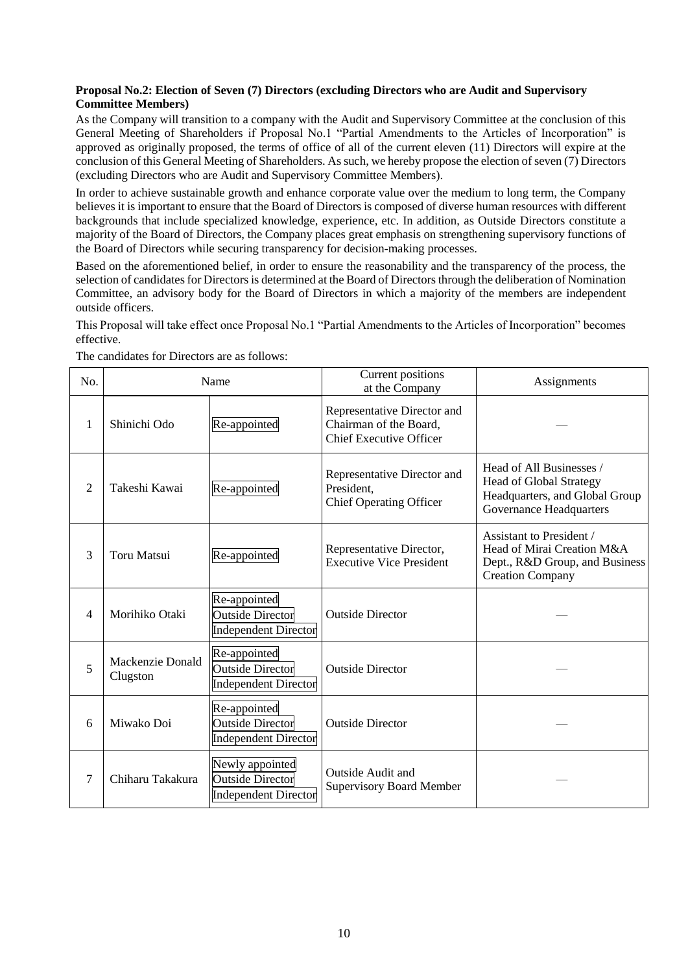## **Proposal No.2: Election of Seven (7) Directors (excluding Directors who are Audit and Supervisory Committee Members)**

As the Company will transition to a company with the Audit and Supervisory Committee at the conclusion of this General Meeting of Shareholders if Proposal No.1 "Partial Amendments to the Articles of Incorporation" is approved as originally proposed, the terms of office of all of the current eleven (11) Directors will expire at the conclusion of this General Meeting of Shareholders. As such, we hereby propose the election of seven (7) Directors (excluding Directors who are Audit and Supervisory Committee Members).

In order to achieve sustainable growth and enhance corporate value over the medium to long term, the Company believes it is important to ensure that the Board of Directors is composed of diverse human resources with different backgrounds that include specialized knowledge, experience, etc. In addition, as Outside Directors constitute a majority of the Board of Directors, the Company places great emphasis on strengthening supervisory functions of the Board of Directors while securing transparency for decision-making processes.

Based on the aforementioned belief, in order to ensure the reasonability and the transparency of the process, the selection of candidates for Directors is determined at the Board of Directors through the deliberation of Nomination Committee, an advisory body for the Board of Directors in which a majority of the members are independent outside officers.

This Proposal will take effect once Proposal No.1 "Partial Amendments to the Articles of Incorporation" becomes effective.

| No.            | Name                         |                                                                           | Current positions<br>at the Company                                                     | Assignments                                                                                                                    |
|----------------|------------------------------|---------------------------------------------------------------------------|-----------------------------------------------------------------------------------------|--------------------------------------------------------------------------------------------------------------------------------|
| 1              | Shinichi Odo                 | Re-appointed                                                              | Representative Director and<br>Chairman of the Board,<br><b>Chief Executive Officer</b> |                                                                                                                                |
| $\overline{2}$ | Takeshi Kawai                | Re-appointed                                                              | Representative Director and<br>President.<br><b>Chief Operating Officer</b>             | Head of All Businesses /<br><b>Head of Global Strategy</b><br>Headquarters, and Global Group<br><b>Governance Headquarters</b> |
| 3              | <b>Toru Matsui</b>           | Re-appointed                                                              | Representative Director,<br><b>Executive Vice President</b>                             | <b>Assistant to President /</b><br>Head of Mirai Creation M&A<br>Dept., R&D Group, and Business<br><b>Creation Company</b>     |
| 4              | Morihiko Otaki               | Re-appointed<br><b>Outside Director</b><br><b>Independent Director</b>    | <b>Outside Director</b>                                                                 |                                                                                                                                |
| 5              | Mackenzie Donald<br>Clugston | Re-appointed<br><b>Outside Director</b><br><b>Independent Director</b>    | <b>Outside Director</b>                                                                 |                                                                                                                                |
| 6              | Miwako Doi                   | Re-appointed<br><b>Outside Director</b><br><b>Independent Director</b>    | <b>Outside Director</b>                                                                 |                                                                                                                                |
| 7              | Chiharu Takakura             | Newly appointed<br><b>Outside Director</b><br><b>Independent Director</b> | Outside Audit and<br><b>Supervisory Board Member</b>                                    |                                                                                                                                |

The candidates for Directors are as follows: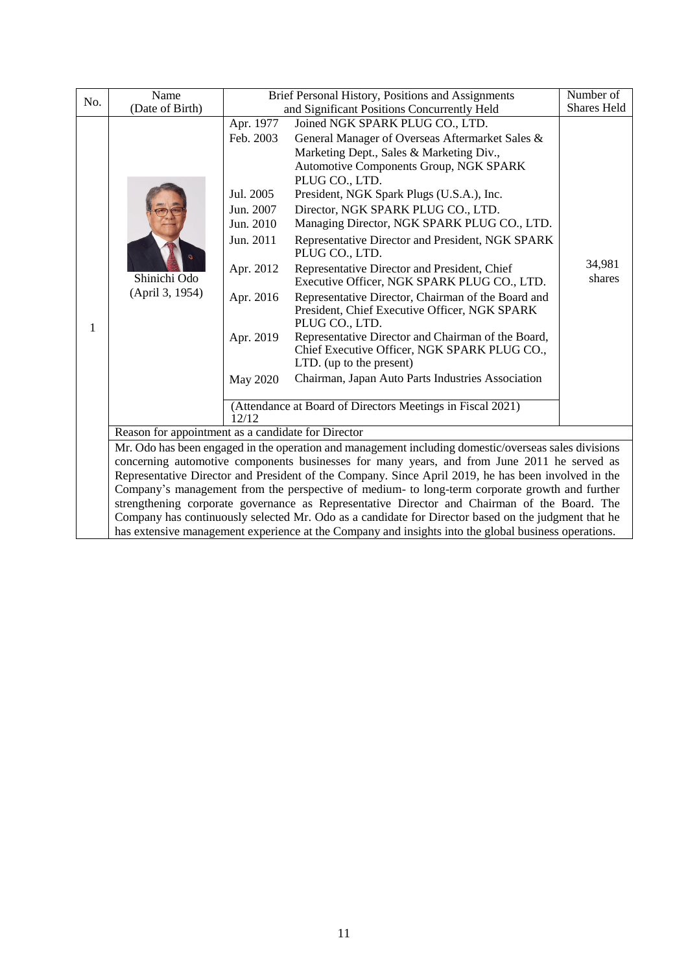|     | Name                                                                                                 | Brief Personal History, Positions and Assignments<br>Number of |                                                                                                      |             |  |
|-----|------------------------------------------------------------------------------------------------------|----------------------------------------------------------------|------------------------------------------------------------------------------------------------------|-------------|--|
| No. | (Date of Birth)                                                                                      | and Significant Positions Concurrently Held                    |                                                                                                      | Shares Held |  |
|     |                                                                                                      | Apr. 1977                                                      | Joined NGK SPARK PLUG CO., LTD.                                                                      |             |  |
|     |                                                                                                      | Feb. 2003                                                      | General Manager of Overseas Aftermarket Sales &                                                      |             |  |
|     |                                                                                                      |                                                                | Marketing Dept., Sales & Marketing Div.,                                                             |             |  |
|     |                                                                                                      |                                                                | Automotive Components Group, NGK SPARK                                                               |             |  |
|     |                                                                                                      | Jul. 2005                                                      | PLUG CO., LTD.<br>President, NGK Spark Plugs (U.S.A.), Inc.                                          |             |  |
|     |                                                                                                      | Jun. 2007                                                      | Director, NGK SPARK PLUG CO., LTD.                                                                   |             |  |
|     |                                                                                                      | Jun. 2010                                                      | Managing Director, NGK SPARK PLUG CO., LTD.                                                          |             |  |
|     |                                                                                                      | Jun. 2011                                                      | Representative Director and President, NGK SPARK                                                     |             |  |
|     |                                                                                                      |                                                                | PLUG CO., LTD.                                                                                       |             |  |
|     |                                                                                                      | Apr. 2012                                                      | Representative Director and President, Chief                                                         | 34,981      |  |
|     | Shinichi Odo                                                                                         |                                                                | Executive Officer, NGK SPARK PLUG CO., LTD.                                                          | shares      |  |
|     | (April 3, 1954)                                                                                      | Apr. 2016                                                      | Representative Director, Chairman of the Board and                                                   |             |  |
|     |                                                                                                      |                                                                | President, Chief Executive Officer, NGK SPARK<br>PLUG CO., LTD.                                      |             |  |
| 1   |                                                                                                      | Apr. 2019                                                      | Representative Director and Chairman of the Board,                                                   |             |  |
|     |                                                                                                      |                                                                | Chief Executive Officer, NGK SPARK PLUG CO.,                                                         |             |  |
|     |                                                                                                      |                                                                | LTD. (up to the present)                                                                             |             |  |
|     |                                                                                                      | May 2020                                                       | Chairman, Japan Auto Parts Industries Association                                                    |             |  |
|     |                                                                                                      |                                                                |                                                                                                      |             |  |
|     |                                                                                                      | 12/12                                                          | (Attendance at Board of Directors Meetings in Fiscal 2021)                                           |             |  |
|     | Reason for appointment as a candidate for Director                                                   |                                                                |                                                                                                      |             |  |
|     |                                                                                                      |                                                                | Mr. Odo has been engaged in the operation and management including domestic/overseas sales divisions |             |  |
|     | concerning automotive components businesses for many years, and from June 2011 he served as          |                                                                |                                                                                                      |             |  |
|     | Representative Director and President of the Company. Since April 2019, he has been involved in the  |                                                                |                                                                                                      |             |  |
|     | Company's management from the perspective of medium- to long-term corporate growth and further       |                                                                |                                                                                                      |             |  |
|     | strengthening corporate governance as Representative Director and Chairman of the Board. The         |                                                                |                                                                                                      |             |  |
|     | Company has continuously selected Mr. Odo as a candidate for Director based on the judgment that he  |                                                                |                                                                                                      |             |  |
|     | has extensive management experience at the Company and insights into the global business operations. |                                                                |                                                                                                      |             |  |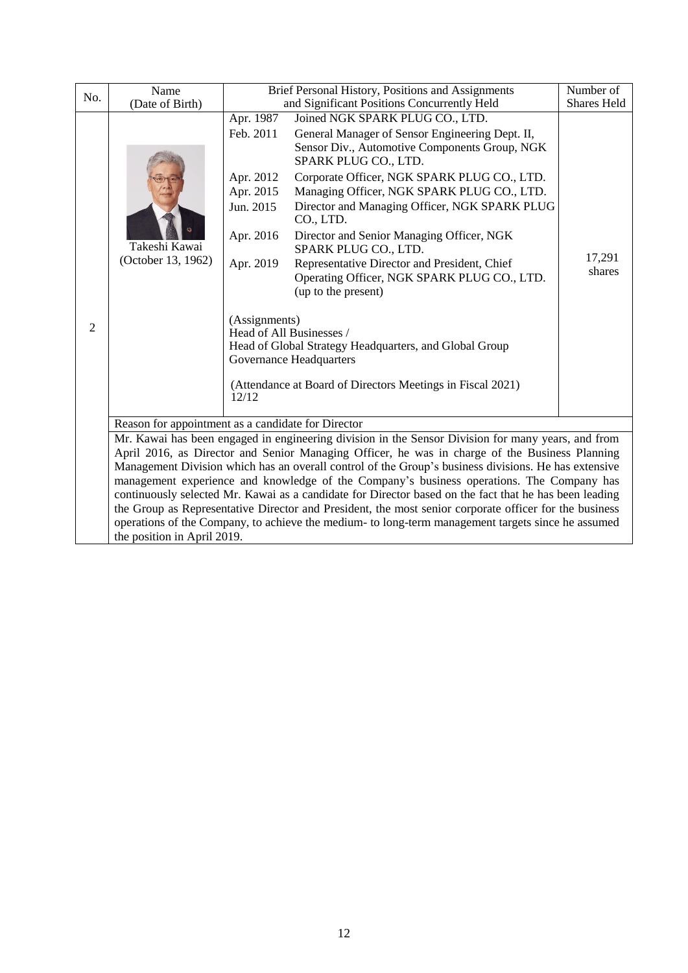| No.            | Name                                                                                                                                                                                                             |                                                                     | Brief Personal History, Positions and Assignments                                                                                                           | Number of<br><b>Shares Held</b> |  |
|----------------|------------------------------------------------------------------------------------------------------------------------------------------------------------------------------------------------------------------|---------------------------------------------------------------------|-------------------------------------------------------------------------------------------------------------------------------------------------------------|---------------------------------|--|
|                | (Date of Birth)                                                                                                                                                                                                  |                                                                     | and Significant Positions Concurrently Held                                                                                                                 |                                 |  |
|                |                                                                                                                                                                                                                  | Apr. 1987<br>Feb. 2011                                              | Joined NGK SPARK PLUG CO., LTD.<br>General Manager of Sensor Engineering Dept. II,<br>Sensor Div., Automotive Components Group, NGK<br>SPARK PLUG CO., LTD. |                                 |  |
|                |                                                                                                                                                                                                                  | Apr. 2012<br>Apr. 2015<br>Jun. 2015                                 | Corporate Officer, NGK SPARK PLUG CO., LTD.<br>Managing Officer, NGK SPARK PLUG CO., LTD.<br>Director and Managing Officer, NGK SPARK PLUG<br>CO., LTD.     |                                 |  |
|                | Takeshi Kawai                                                                                                                                                                                                    | Apr. 2016                                                           | Director and Senior Managing Officer, NGK<br>SPARK PLUG CO., LTD.                                                                                           |                                 |  |
|                | (October 13, 1962)                                                                                                                                                                                               | Apr. 2019                                                           | Representative Director and President, Chief<br>Operating Officer, NGK SPARK PLUG CO., LTD.<br>(up to the present)                                          | 17,291<br>shares                |  |
| $\overline{2}$ |                                                                                                                                                                                                                  | (Assignments)                                                       | Head of All Businesses /<br>Head of Global Strategy Headquarters, and Global Group<br><b>Governance Headquarters</b>                                        |                                 |  |
|                |                                                                                                                                                                                                                  | (Attendance at Board of Directors Meetings in Fiscal 2021)<br>12/12 |                                                                                                                                                             |                                 |  |
|                | Reason for appointment as a candidate for Director                                                                                                                                                               |                                                                     |                                                                                                                                                             |                                 |  |
|                | Mr. Kawai has been engaged in engineering division in the Sensor Division for many years, and from<br>April 2016, as Director and Senior Managing Officer, he was in charge of the Business Planning             |                                                                     |                                                                                                                                                             |                                 |  |
|                |                                                                                                                                                                                                                  |                                                                     | Management Division which has an overall control of the Group's business divisions. He has extensive                                                        |                                 |  |
|                |                                                                                                                                                                                                                  |                                                                     | management experience and knowledge of the Company's business operations. The Company has                                                                   |                                 |  |
|                | continuously selected Mr. Kawai as a candidate for Director based on the fact that he has been leading<br>the Group as Representative Director and President, the most senior corporate officer for the business |                                                                     |                                                                                                                                                             |                                 |  |
|                | operations of the Company, to achieve the medium- to long-term management targets since he assumed                                                                                                               |                                                                     |                                                                                                                                                             |                                 |  |
|                | the position in April 2019.                                                                                                                                                                                      |                                                                     |                                                                                                                                                             |                                 |  |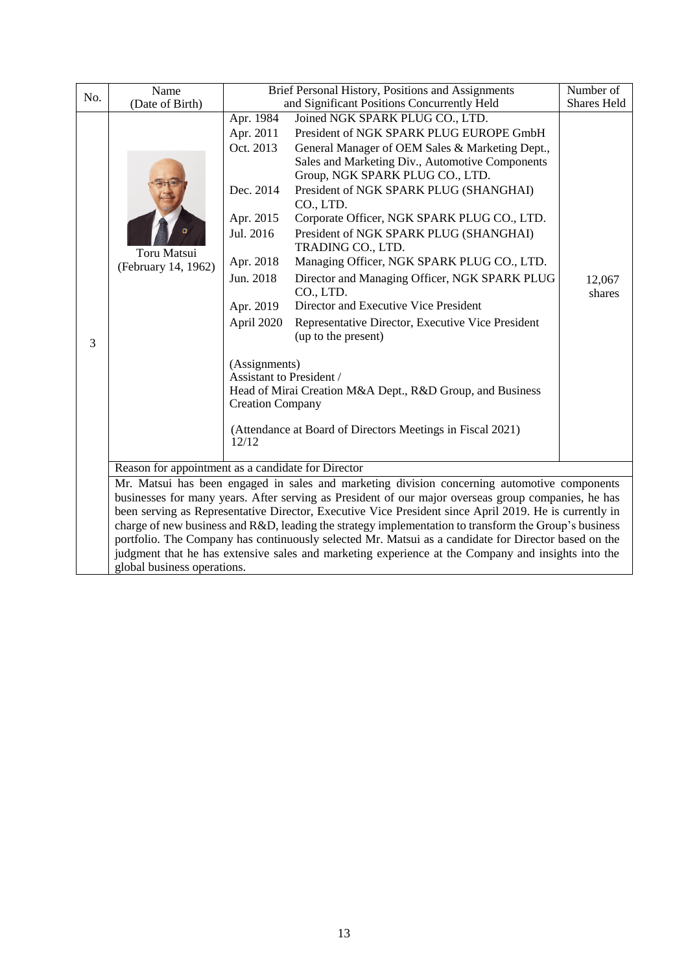| No. | Name                                                                                                                                                                                                            |                                                            | Brief Personal History, Positions and Assignments<br>Number of                                       |                    |  |  |  |  |
|-----|-----------------------------------------------------------------------------------------------------------------------------------------------------------------------------------------------------------------|------------------------------------------------------------|------------------------------------------------------------------------------------------------------|--------------------|--|--|--|--|
|     | (Date of Birth)                                                                                                                                                                                                 | Apr. 1984                                                  | and Significant Positions Concurrently Held<br>Joined NGK SPARK PLUG CO., LTD.                       | <b>Shares Held</b> |  |  |  |  |
|     |                                                                                                                                                                                                                 | President of NGK SPARK PLUG EUROPE GmbH<br>Apr. 2011       |                                                                                                      |                    |  |  |  |  |
|     |                                                                                                                                                                                                                 |                                                            |                                                                                                      |                    |  |  |  |  |
|     |                                                                                                                                                                                                                 | Oct. 2013                                                  | General Manager of OEM Sales & Marketing Dept.,<br>Sales and Marketing Div., Automotive Components   |                    |  |  |  |  |
|     |                                                                                                                                                                                                                 |                                                            | Group, NGK SPARK PLUG CO., LTD.                                                                      |                    |  |  |  |  |
|     |                                                                                                                                                                                                                 | Dec. 2014                                                  | President of NGK SPARK PLUG (SHANGHAI)                                                               |                    |  |  |  |  |
|     |                                                                                                                                                                                                                 |                                                            | CO., LTD.                                                                                            |                    |  |  |  |  |
|     |                                                                                                                                                                                                                 | Apr. 2015                                                  | Corporate Officer, NGK SPARK PLUG CO., LTD.                                                          |                    |  |  |  |  |
|     |                                                                                                                                                                                                                 | Jul. 2016                                                  | President of NGK SPARK PLUG (SHANGHAI)                                                               |                    |  |  |  |  |
|     | Toru Matsui                                                                                                                                                                                                     |                                                            | TRADING CO., LTD.                                                                                    |                    |  |  |  |  |
|     | (February 14, 1962)                                                                                                                                                                                             | Apr. 2018                                                  | Managing Officer, NGK SPARK PLUG CO., LTD.                                                           |                    |  |  |  |  |
|     |                                                                                                                                                                                                                 | Jun. 2018<br>Director and Managing Officer, NGK SPARK PLUG |                                                                                                      |                    |  |  |  |  |
|     |                                                                                                                                                                                                                 |                                                            | CO., LTD.<br>Director and Executive Vice President<br>Apr. 2019                                      |                    |  |  |  |  |
|     |                                                                                                                                                                                                                 |                                                            |                                                                                                      |                    |  |  |  |  |
|     |                                                                                                                                                                                                                 |                                                            | April 2020<br>Representative Director, Executive Vice President                                      |                    |  |  |  |  |
| 3   |                                                                                                                                                                                                                 |                                                            | (up to the present)                                                                                  |                    |  |  |  |  |
|     |                                                                                                                                                                                                                 |                                                            | (Assignments)                                                                                        |                    |  |  |  |  |
|     |                                                                                                                                                                                                                 |                                                            | Assistant to President /                                                                             |                    |  |  |  |  |
|     |                                                                                                                                                                                                                 |                                                            | Head of Mirai Creation M&A Dept., R&D Group, and Business                                            |                    |  |  |  |  |
|     |                                                                                                                                                                                                                 | <b>Creation Company</b>                                    |                                                                                                      |                    |  |  |  |  |
|     |                                                                                                                                                                                                                 |                                                            | (Attendance at Board of Directors Meetings in Fiscal 2021)                                           |                    |  |  |  |  |
|     |                                                                                                                                                                                                                 | 12/12                                                      |                                                                                                      |                    |  |  |  |  |
|     |                                                                                                                                                                                                                 |                                                            |                                                                                                      |                    |  |  |  |  |
|     |                                                                                                                                                                                                                 | Reason for appointment as a candidate for Director         |                                                                                                      |                    |  |  |  |  |
|     | Mr. Matsui has been engaged in sales and marketing division concerning automotive components<br>businesses for many years. After serving as President of our major overseas group companies, he has             |                                                            |                                                                                                      |                    |  |  |  |  |
|     |                                                                                                                                                                                                                 |                                                            |                                                                                                      |                    |  |  |  |  |
|     | been serving as Representative Director, Executive Vice President since April 2019. He is currently in<br>charge of new business and R&D, leading the strategy implementation to transform the Group's business |                                                            |                                                                                                      |                    |  |  |  |  |
|     |                                                                                                                                                                                                                 |                                                            | portfolio. The Company has continuously selected Mr. Matsui as a candidate for Director based on the |                    |  |  |  |  |
|     |                                                                                                                                                                                                                 |                                                            | judgment that he has extensive sales and marketing experience at the Company and insights into the   |                    |  |  |  |  |
|     | global business operations.                                                                                                                                                                                     |                                                            |                                                                                                      |                    |  |  |  |  |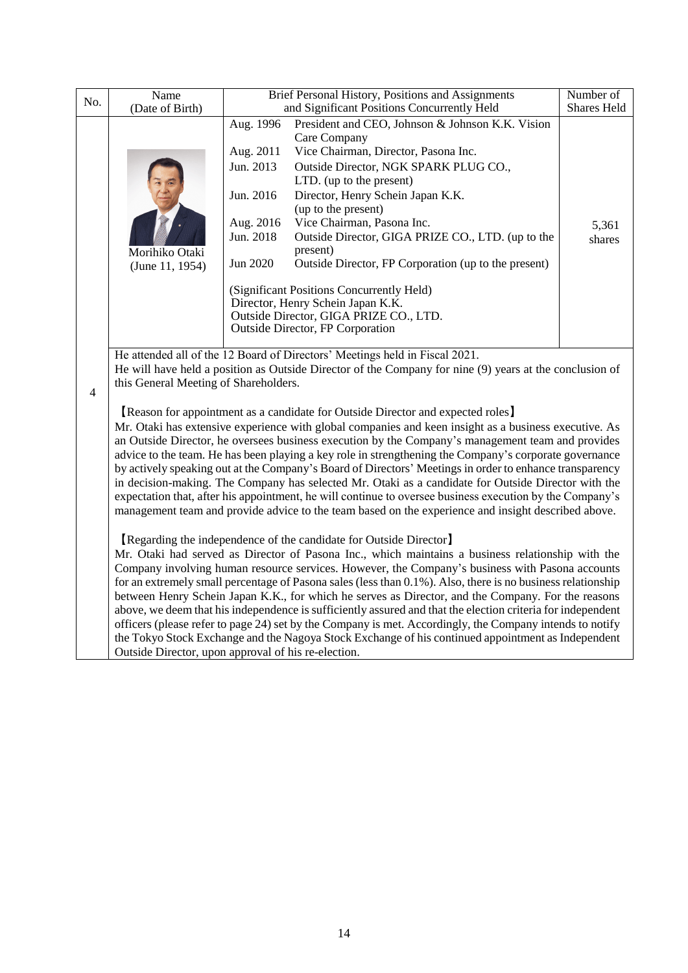| No.                                                                                                                                                                                                                                                                                                                                                                                                                                                                                                                                                                                                                                                                                                                                                                                                                                                                                                                                                                                                                                                                                                                                                                                                                                                                                                                                                                                                                                                                                                                                                                                                                                                                                                                                                                                                                                                                                                                                   | Name |                                                                                        | Brief Personal History, Positions and Assignments                                                                                                                                                                                                                                                                                                                                                                                                                                                                                                                                                                                            |  |  |  |
|---------------------------------------------------------------------------------------------------------------------------------------------------------------------------------------------------------------------------------------------------------------------------------------------------------------------------------------------------------------------------------------------------------------------------------------------------------------------------------------------------------------------------------------------------------------------------------------------------------------------------------------------------------------------------------------------------------------------------------------------------------------------------------------------------------------------------------------------------------------------------------------------------------------------------------------------------------------------------------------------------------------------------------------------------------------------------------------------------------------------------------------------------------------------------------------------------------------------------------------------------------------------------------------------------------------------------------------------------------------------------------------------------------------------------------------------------------------------------------------------------------------------------------------------------------------------------------------------------------------------------------------------------------------------------------------------------------------------------------------------------------------------------------------------------------------------------------------------------------------------------------------------------------------------------------------|------|----------------------------------------------------------------------------------------|----------------------------------------------------------------------------------------------------------------------------------------------------------------------------------------------------------------------------------------------------------------------------------------------------------------------------------------------------------------------------------------------------------------------------------------------------------------------------------------------------------------------------------------------------------------------------------------------------------------------------------------------|--|--|--|
| (Date of Birth)<br>Morihiko Otaki<br>(June 11, 1954)                                                                                                                                                                                                                                                                                                                                                                                                                                                                                                                                                                                                                                                                                                                                                                                                                                                                                                                                                                                                                                                                                                                                                                                                                                                                                                                                                                                                                                                                                                                                                                                                                                                                                                                                                                                                                                                                                  |      | Aug. 1996<br>Aug. 2011<br>Jun. 2013<br>Jun. 2016<br>Aug. 2016<br>Jun. 2018<br>Jun 2020 | <b>Shares Held</b><br>and Significant Positions Concurrently Held<br>President and CEO, Johnson & Johnson K.K. Vision<br>Care Company<br>Vice Chairman, Director, Pasona Inc.<br>Outside Director, NGK SPARK PLUG CO.,<br>LTD. (up to the present)<br>Director, Henry Schein Japan K.K.<br>(up to the present)<br>Vice Chairman, Pasona Inc.<br>Outside Director, GIGA PRIZE CO., LTD. (up to the<br>present)<br>Outside Director, FP Corporation (up to the present)<br>(Significant Positions Concurrently Held)<br>Director, Henry Schein Japan K.K.<br>Outside Director, GIGA PRIZE CO., LTD.<br><b>Outside Director, FP Corporation</b> |  |  |  |
| He attended all of the 12 Board of Directors' Meetings held in Fiscal 2021.<br>He will have held a position as Outside Director of the Company for nine (9) years at the conclusion of<br>this General Meeting of Shareholders.<br>$\overline{4}$<br>[Reason for appointment as a candidate for Outside Director and expected roles]<br>Mr. Otaki has extensive experience with global companies and keen insight as a business executive. As<br>an Outside Director, he oversees business execution by the Company's management team and provides<br>advice to the team. He has been playing a key role in strengthening the Company's corporate governance<br>by actively speaking out at the Company's Board of Directors' Meetings in order to enhance transparency<br>in decision-making. The Company has selected Mr. Otaki as a candidate for Outside Director with the<br>expectation that, after his appointment, he will continue to oversee business execution by the Company's<br>management team and provide advice to the team based on the experience and insight described above.<br>[Regarding the independence of the candidate for Outside Director]<br>Mr. Otaki had served as Director of Pasona Inc., which maintains a business relationship with the<br>Company involving human resource services. However, the Company's business with Pasona accounts<br>for an extremely small percentage of Pasona sales (less than 0.1%). Also, there is no business relationship<br>between Henry Schein Japan K.K., for which he serves as Director, and the Company. For the reasons<br>above, we deem that his independence is sufficiently assured and that the election criteria for independent<br>officers (please refer to page 24) set by the Company is met. Accordingly, the Company intends to notify<br>the Tokyo Stock Exchange and the Nagoya Stock Exchange of his continued appointment as Independent |      |                                                                                        |                                                                                                                                                                                                                                                                                                                                                                                                                                                                                                                                                                                                                                              |  |  |  |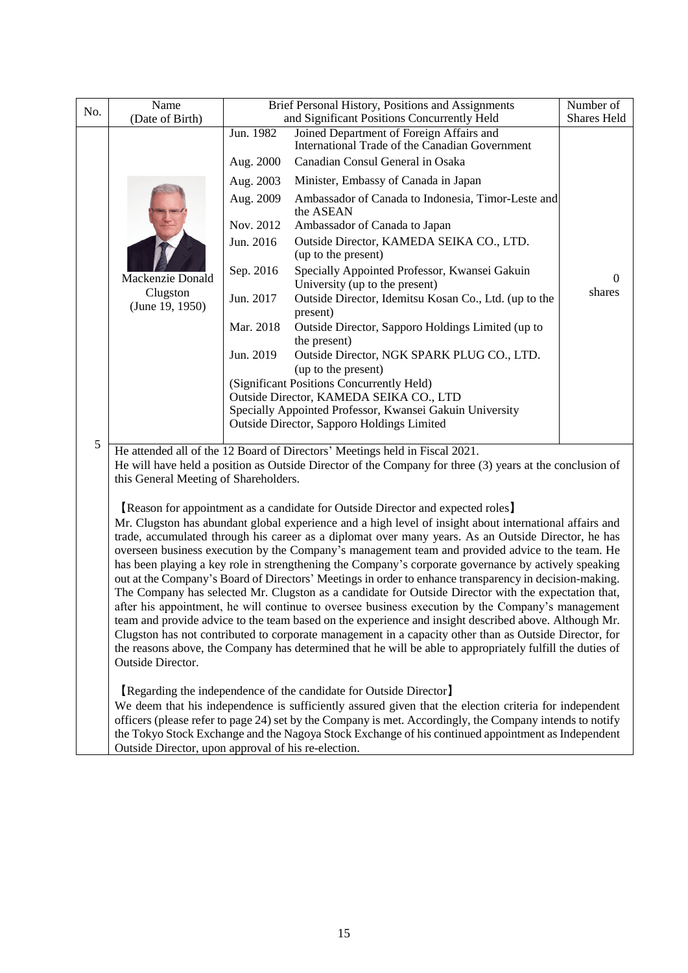| No. | Name<br>(Date of Birth)                                                                                                                                   | Brief Personal History, Positions and Assignments                                                    | Number of<br>Shares Held                                                                                                                                                                                 |        |  |  |  |
|-----|-----------------------------------------------------------------------------------------------------------------------------------------------------------|------------------------------------------------------------------------------------------------------|----------------------------------------------------------------------------------------------------------------------------------------------------------------------------------------------------------|--------|--|--|--|
|     |                                                                                                                                                           | and Significant Positions Concurrently Held<br>Jun. 1982<br>Joined Department of Foreign Affairs and |                                                                                                                                                                                                          |        |  |  |  |
|     |                                                                                                                                                           |                                                                                                      | International Trade of the Canadian Government<br>Canadian Consul General in Osaka                                                                                                                       |        |  |  |  |
|     |                                                                                                                                                           | Aug. 2000                                                                                            |                                                                                                                                                                                                          |        |  |  |  |
|     |                                                                                                                                                           | Aug. 2003                                                                                            | Minister, Embassy of Canada in Japan                                                                                                                                                                     |        |  |  |  |
|     |                                                                                                                                                           | Aug. 2009                                                                                            | Ambassador of Canada to Indonesia, Timor-Leste and<br>the ASEAN                                                                                                                                          |        |  |  |  |
|     |                                                                                                                                                           | Nov. 2012                                                                                            | Ambassador of Canada to Japan                                                                                                                                                                            |        |  |  |  |
|     |                                                                                                                                                           | Jun. 2016                                                                                            | Outside Director, KAMEDA SEIKA CO., LTD.<br>(up to the present)                                                                                                                                          |        |  |  |  |
|     | Mackenzie Donald                                                                                                                                          | Sep. 2016                                                                                            | Specially Appointed Professor, Kwansei Gakuin<br>University (up to the present)                                                                                                                          | 0      |  |  |  |
|     | Clugston<br>(June 19, 1950)                                                                                                                               | Jun. 2017                                                                                            | Outside Director, Idemitsu Kosan Co., Ltd. (up to the<br>present)                                                                                                                                        | shares |  |  |  |
|     |                                                                                                                                                           | Mar. 2018                                                                                            | Outside Director, Sapporo Holdings Limited (up to<br>the present)                                                                                                                                        |        |  |  |  |
|     |                                                                                                                                                           | Jun. 2019                                                                                            | Outside Director, NGK SPARK PLUG CO., LTD.<br>(up to the present)                                                                                                                                        |        |  |  |  |
|     |                                                                                                                                                           |                                                                                                      |                                                                                                                                                                                                          |        |  |  |  |
|     |                                                                                                                                                           | (Significant Positions Concurrently Held)<br>Outside Director, KAMEDA SEIKA CO., LTD                 |                                                                                                                                                                                                          |        |  |  |  |
|     |                                                                                                                                                           |                                                                                                      | Specially Appointed Professor, Kwansei Gakuin University                                                                                                                                                 |        |  |  |  |
|     |                                                                                                                                                           | Outside Director, Sapporo Holdings Limited                                                           |                                                                                                                                                                                                          |        |  |  |  |
| 5   |                                                                                                                                                           | He attended all of the 12 Board of Directors' Meetings held in Fiscal 2021.                          |                                                                                                                                                                                                          |        |  |  |  |
|     | this General Meeting of Shareholders.                                                                                                                     |                                                                                                      | He will have held a position as Outside Director of the Company for three (3) years at the conclusion of                                                                                                 |        |  |  |  |
|     |                                                                                                                                                           |                                                                                                      | [Reason for appointment as a candidate for Outside Director and expected roles]                                                                                                                          |        |  |  |  |
|     |                                                                                                                                                           |                                                                                                      | Mr. Clugston has abundant global experience and a high level of insight about international affairs and                                                                                                  |        |  |  |  |
|     |                                                                                                                                                           |                                                                                                      | trade, accumulated through his career as a diplomat over many years. As an Outside Director, he has                                                                                                      |        |  |  |  |
|     |                                                                                                                                                           |                                                                                                      | overseen business execution by the Company's management team and provided advice to the team. He<br>has been playing a key role in strengthening the Company's corporate governance by actively speaking |        |  |  |  |
|     |                                                                                                                                                           |                                                                                                      | out at the Company's Board of Directors' Meetings in order to enhance transparency in decision-making.                                                                                                   |        |  |  |  |
|     |                                                                                                                                                           |                                                                                                      | The Company has selected Mr. Clugston as a candidate for Outside Director with the expectation that,                                                                                                     |        |  |  |  |
|     |                                                                                                                                                           |                                                                                                      | after his appointment, he will continue to oversee business execution by the Company's management                                                                                                        |        |  |  |  |
|     | team and provide advice to the team based on the experience and insight described above. Although Mr.                                                     |                                                                                                      |                                                                                                                                                                                                          |        |  |  |  |
|     | Clugston has not contributed to corporate management in a capacity other than as Outside Director, for                                                    |                                                                                                      |                                                                                                                                                                                                          |        |  |  |  |
|     | the reasons above, the Company has determined that he will be able to appropriately fulfill the duties of<br>Outside Director.                            |                                                                                                      |                                                                                                                                                                                                          |        |  |  |  |
|     |                                                                                                                                                           |                                                                                                      | [Regarding the independence of the candidate for Outside Director]                                                                                                                                       |        |  |  |  |
|     |                                                                                                                                                           |                                                                                                      | We deem that his independence is sufficiently assured given that the election criteria for independent                                                                                                   |        |  |  |  |
|     |                                                                                                                                                           |                                                                                                      | officers (please refer to page 24) set by the Company is met. Accordingly, the Company intends to notify                                                                                                 |        |  |  |  |
|     | the Tokyo Stock Exchange and the Nagoya Stock Exchange of his continued appointment as Independent<br>Outside Director, upon approval of his re-election. |                                                                                                      |                                                                                                                                                                                                          |        |  |  |  |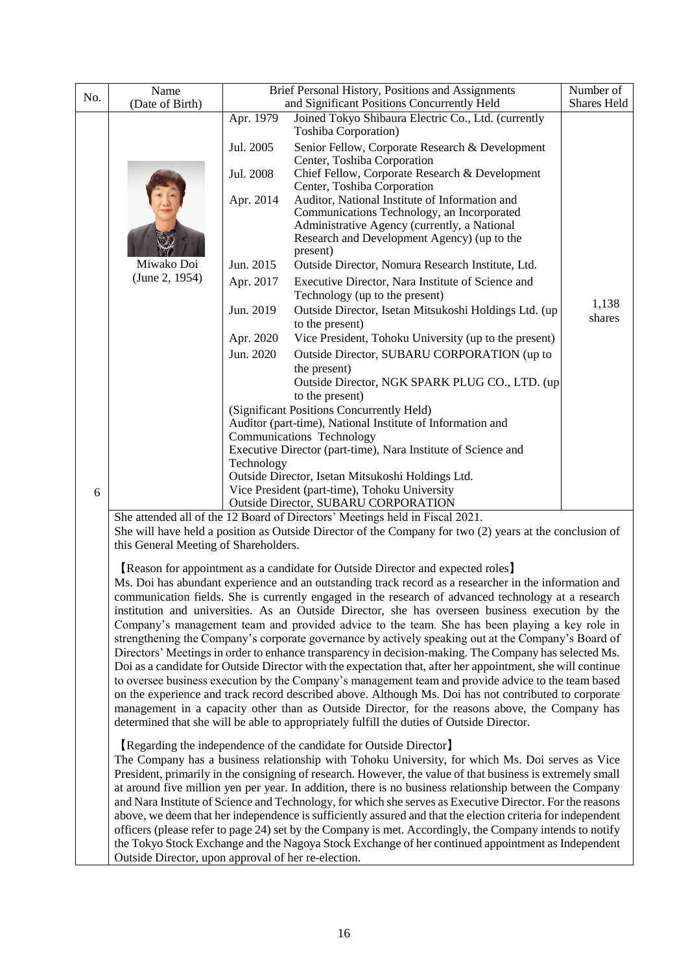|                                                                                                                                                                                                                                                                                                                                                                                                                                                                                                                                                                                                                                                                                                                                                                                                                                               | Name                                                                                                                                                                                                                                                                                                                                                                                                                                                                                                                                                                                                                                                                                                                                                                                                                                                                                                                                                                                                                                                                                                                                                                                                                                                 |                                                   | Brief Personal History, Positions and Assignments                                                                                                                                                       | Number of       |  |  |  |
|-----------------------------------------------------------------------------------------------------------------------------------------------------------------------------------------------------------------------------------------------------------------------------------------------------------------------------------------------------------------------------------------------------------------------------------------------------------------------------------------------------------------------------------------------------------------------------------------------------------------------------------------------------------------------------------------------------------------------------------------------------------------------------------------------------------------------------------------------|------------------------------------------------------------------------------------------------------------------------------------------------------------------------------------------------------------------------------------------------------------------------------------------------------------------------------------------------------------------------------------------------------------------------------------------------------------------------------------------------------------------------------------------------------------------------------------------------------------------------------------------------------------------------------------------------------------------------------------------------------------------------------------------------------------------------------------------------------------------------------------------------------------------------------------------------------------------------------------------------------------------------------------------------------------------------------------------------------------------------------------------------------------------------------------------------------------------------------------------------------|---------------------------------------------------|---------------------------------------------------------------------------------------------------------------------------------------------------------------------------------------------------------|-----------------|--|--|--|
| No.                                                                                                                                                                                                                                                                                                                                                                                                                                                                                                                                                                                                                                                                                                                                                                                                                                           | (Date of Birth)                                                                                                                                                                                                                                                                                                                                                                                                                                                                                                                                                                                                                                                                                                                                                                                                                                                                                                                                                                                                                                                                                                                                                                                                                                      | and Significant Positions Concurrently Held       | Shares Held                                                                                                                                                                                             |                 |  |  |  |
|                                                                                                                                                                                                                                                                                                                                                                                                                                                                                                                                                                                                                                                                                                                                                                                                                                               |                                                                                                                                                                                                                                                                                                                                                                                                                                                                                                                                                                                                                                                                                                                                                                                                                                                                                                                                                                                                                                                                                                                                                                                                                                                      | Apr. 1979                                         | Joined Tokyo Shibaura Electric Co., Ltd. (currently<br><b>Toshiba Corporation</b> )                                                                                                                     |                 |  |  |  |
|                                                                                                                                                                                                                                                                                                                                                                                                                                                                                                                                                                                                                                                                                                                                                                                                                                               |                                                                                                                                                                                                                                                                                                                                                                                                                                                                                                                                                                                                                                                                                                                                                                                                                                                                                                                                                                                                                                                                                                                                                                                                                                                      | Jul. 2005                                         | Senior Fellow, Corporate Research & Development<br>Center, Toshiba Corporation                                                                                                                          |                 |  |  |  |
|                                                                                                                                                                                                                                                                                                                                                                                                                                                                                                                                                                                                                                                                                                                                                                                                                                               |                                                                                                                                                                                                                                                                                                                                                                                                                                                                                                                                                                                                                                                                                                                                                                                                                                                                                                                                                                                                                                                                                                                                                                                                                                                      | Jul. 2008                                         | Chief Fellow, Corporate Research & Development<br>Center, Toshiba Corporation                                                                                                                           |                 |  |  |  |
| Apr. 2014                                                                                                                                                                                                                                                                                                                                                                                                                                                                                                                                                                                                                                                                                                                                                                                                                                     |                                                                                                                                                                                                                                                                                                                                                                                                                                                                                                                                                                                                                                                                                                                                                                                                                                                                                                                                                                                                                                                                                                                                                                                                                                                      |                                                   | Auditor, National Institute of Information and<br>Communications Technology, an Incorporated<br>Administrative Agency (currently, a National<br>Research and Development Agency) (up to the<br>present) |                 |  |  |  |
|                                                                                                                                                                                                                                                                                                                                                                                                                                                                                                                                                                                                                                                                                                                                                                                                                                               | Miwako Doi                                                                                                                                                                                                                                                                                                                                                                                                                                                                                                                                                                                                                                                                                                                                                                                                                                                                                                                                                                                                                                                                                                                                                                                                                                           | Jun. 2015                                         | Outside Director, Nomura Research Institute, Ltd.                                                                                                                                                       |                 |  |  |  |
|                                                                                                                                                                                                                                                                                                                                                                                                                                                                                                                                                                                                                                                                                                                                                                                                                                               | (June 2, 1954)                                                                                                                                                                                                                                                                                                                                                                                                                                                                                                                                                                                                                                                                                                                                                                                                                                                                                                                                                                                                                                                                                                                                                                                                                                       | Apr. 2017                                         | Executive Director, Nara Institute of Science and<br>Technology (up to the present)                                                                                                                     |                 |  |  |  |
|                                                                                                                                                                                                                                                                                                                                                                                                                                                                                                                                                                                                                                                                                                                                                                                                                                               |                                                                                                                                                                                                                                                                                                                                                                                                                                                                                                                                                                                                                                                                                                                                                                                                                                                                                                                                                                                                                                                                                                                                                                                                                                                      | Jun. 2019                                         | Outside Director, Isetan Mitsukoshi Holdings Ltd. (up<br>to the present)                                                                                                                                | 1,138<br>shares |  |  |  |
|                                                                                                                                                                                                                                                                                                                                                                                                                                                                                                                                                                                                                                                                                                                                                                                                                                               |                                                                                                                                                                                                                                                                                                                                                                                                                                                                                                                                                                                                                                                                                                                                                                                                                                                                                                                                                                                                                                                                                                                                                                                                                                                      | Apr. 2020                                         | Vice President, Tohoku University (up to the present)                                                                                                                                                   |                 |  |  |  |
|                                                                                                                                                                                                                                                                                                                                                                                                                                                                                                                                                                                                                                                                                                                                                                                                                                               |                                                                                                                                                                                                                                                                                                                                                                                                                                                                                                                                                                                                                                                                                                                                                                                                                                                                                                                                                                                                                                                                                                                                                                                                                                                      | Jun. 2020                                         | Outside Director, SUBARU CORPORATION (up to<br>the present)<br>Outside Director, NGK SPARK PLUG CO., LTD. (up                                                                                           |                 |  |  |  |
|                                                                                                                                                                                                                                                                                                                                                                                                                                                                                                                                                                                                                                                                                                                                                                                                                                               |                                                                                                                                                                                                                                                                                                                                                                                                                                                                                                                                                                                                                                                                                                                                                                                                                                                                                                                                                                                                                                                                                                                                                                                                                                                      |                                                   | to the present)<br>(Significant Positions Concurrently Held)                                                                                                                                            |                 |  |  |  |
|                                                                                                                                                                                                                                                                                                                                                                                                                                                                                                                                                                                                                                                                                                                                                                                                                                               |                                                                                                                                                                                                                                                                                                                                                                                                                                                                                                                                                                                                                                                                                                                                                                                                                                                                                                                                                                                                                                                                                                                                                                                                                                                      |                                                   | Auditor (part-time), National Institute of Information and                                                                                                                                              |                 |  |  |  |
|                                                                                                                                                                                                                                                                                                                                                                                                                                                                                                                                                                                                                                                                                                                                                                                                                                               |                                                                                                                                                                                                                                                                                                                                                                                                                                                                                                                                                                                                                                                                                                                                                                                                                                                                                                                                                                                                                                                                                                                                                                                                                                                      |                                                   | Communications Technology                                                                                                                                                                               |                 |  |  |  |
|                                                                                                                                                                                                                                                                                                                                                                                                                                                                                                                                                                                                                                                                                                                                                                                                                                               |                                                                                                                                                                                                                                                                                                                                                                                                                                                                                                                                                                                                                                                                                                                                                                                                                                                                                                                                                                                                                                                                                                                                                                                                                                                      | Technology                                        | Executive Director (part-time), Nara Institute of Science and                                                                                                                                           |                 |  |  |  |
|                                                                                                                                                                                                                                                                                                                                                                                                                                                                                                                                                                                                                                                                                                                                                                                                                                               |                                                                                                                                                                                                                                                                                                                                                                                                                                                                                                                                                                                                                                                                                                                                                                                                                                                                                                                                                                                                                                                                                                                                                                                                                                                      | Outside Director, Isetan Mitsukoshi Holdings Ltd. |                                                                                                                                                                                                         |                 |  |  |  |
| 6                                                                                                                                                                                                                                                                                                                                                                                                                                                                                                                                                                                                                                                                                                                                                                                                                                             |                                                                                                                                                                                                                                                                                                                                                                                                                                                                                                                                                                                                                                                                                                                                                                                                                                                                                                                                                                                                                                                                                                                                                                                                                                                      |                                                   | Vice President (part-time), Tohoku University<br>Outside Director, SUBARU CORPORATION                                                                                                                   |                 |  |  |  |
|                                                                                                                                                                                                                                                                                                                                                                                                                                                                                                                                                                                                                                                                                                                                                                                                                                               |                                                                                                                                                                                                                                                                                                                                                                                                                                                                                                                                                                                                                                                                                                                                                                                                                                                                                                                                                                                                                                                                                                                                                                                                                                                      |                                                   | She attended all of the 12 Board of Directors' Meetings held in Fiscal 2021.                                                                                                                            |                 |  |  |  |
|                                                                                                                                                                                                                                                                                                                                                                                                                                                                                                                                                                                                                                                                                                                                                                                                                                               | She will have held a position as Outside Director of the Company for two (2) years at the conclusion of<br>this General Meeting of Shareholders.                                                                                                                                                                                                                                                                                                                                                                                                                                                                                                                                                                                                                                                                                                                                                                                                                                                                                                                                                                                                                                                                                                     |                                                   |                                                                                                                                                                                                         |                 |  |  |  |
|                                                                                                                                                                                                                                                                                                                                                                                                                                                                                                                                                                                                                                                                                                                                                                                                                                               | [Reason for appointment as a candidate for Outside Director and expected roles]<br>Ms. Doi has abundant experience and an outstanding track record as a researcher in the information and<br>communication fields. She is currently engaged in the research of advanced technology at a research<br>institution and universities. As an Outside Director, she has overseen business execution by the<br>Company's management team and provided advice to the team. She has been playing a key role in<br>strengthening the Company's corporate governance by actively speaking out at the Company's Board of<br>Directors' Meetings in order to enhance transparency in decision-making. The Company has selected Ms.<br>Doi as a candidate for Outside Director with the expectation that, after her appointment, she will continue<br>to oversee business execution by the Company's management team and provide advice to the team based<br>on the experience and track record described above. Although Ms. Doi has not contributed to corporate<br>management in a capacity other than as Outside Director, for the reasons above, the Company has<br>determined that she will be able to appropriately fulfill the duties of Outside Director. |                                                   |                                                                                                                                                                                                         |                 |  |  |  |
| [Regarding the independence of the candidate for Outside Director]<br>The Company has a business relationship with Tohoku University, for which Ms. Doi serves as Vice<br>President, primarily in the consigning of research. However, the value of that business is extremely small<br>at around five million yen per year. In addition, there is no business relationship between the Company<br>and Nara Institute of Science and Technology, for which she serves as Executive Director. For the reasons<br>above, we deem that her independence is sufficiently assured and that the election criteria for independent<br>officers (please refer to page 24) set by the Company is met. Accordingly, the Company intends to notify<br>the Tokyo Stock Exchange and the Nagoya Stock Exchange of her continued appointment as Independent |                                                                                                                                                                                                                                                                                                                                                                                                                                                                                                                                                                                                                                                                                                                                                                                                                                                                                                                                                                                                                                                                                                                                                                                                                                                      |                                                   |                                                                                                                                                                                                         |                 |  |  |  |

Outside Director, upon approval of her re-election.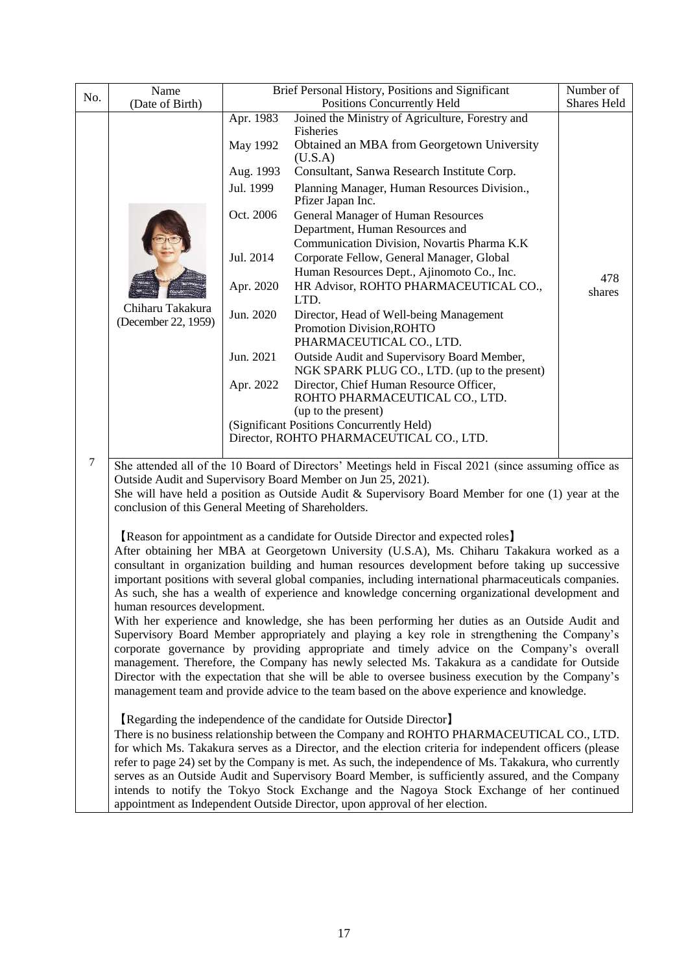| No. | Name                                                                                                                                                                            | Brief Personal History, Positions and Significant | Number of<br>Shares Held                                                                                                                                                                                   |               |  |  |  |  |  |
|-----|---------------------------------------------------------------------------------------------------------------------------------------------------------------------------------|---------------------------------------------------|------------------------------------------------------------------------------------------------------------------------------------------------------------------------------------------------------------|---------------|--|--|--|--|--|
|     | (Date of Birth)                                                                                                                                                                 | Apr. 1983                                         | Positions Concurrently Held<br>Joined the Ministry of Agriculture, Forestry and                                                                                                                            |               |  |  |  |  |  |
|     |                                                                                                                                                                                 | May 1992                                          | Fisheries<br>Obtained an MBA from Georgetown University<br>(U.S.A)                                                                                                                                         |               |  |  |  |  |  |
|     |                                                                                                                                                                                 | Aug. 1993                                         | Consultant, Sanwa Research Institute Corp.                                                                                                                                                                 |               |  |  |  |  |  |
|     |                                                                                                                                                                                 | Jul. 1999                                         | Planning Manager, Human Resources Division.,<br>Pfizer Japan Inc.                                                                                                                                          |               |  |  |  |  |  |
|     |                                                                                                                                                                                 | Oct. 2006                                         | <b>General Manager of Human Resources</b><br>Department, Human Resources and<br>Communication Division, Novartis Pharma K.K.                                                                               |               |  |  |  |  |  |
|     |                                                                                                                                                                                 | Jul. 2014                                         | Corporate Fellow, General Manager, Global<br>Human Resources Dept., Ajinomoto Co., Inc.                                                                                                                    |               |  |  |  |  |  |
|     |                                                                                                                                                                                 | Apr. 2020                                         | HR Advisor, ROHTO PHARMACEUTICAL CO.,<br>LTD.                                                                                                                                                              | 478<br>shares |  |  |  |  |  |
|     | Chiharu Takakura<br>(December 22, 1959)                                                                                                                                         | Jun. 2020                                         | Director, Head of Well-being Management<br>Promotion Division, ROHTO                                                                                                                                       |               |  |  |  |  |  |
|     |                                                                                                                                                                                 | Jun. 2021                                         | PHARMACEUTICAL CO., LTD.<br>Outside Audit and Supervisory Board Member,<br>NGK SPARK PLUG CO., LTD. (up to the present)                                                                                    |               |  |  |  |  |  |
|     |                                                                                                                                                                                 | Apr. 2022                                         | Director, Chief Human Resource Officer,<br>ROHTO PHARMACEUTICAL CO., LTD.                                                                                                                                  |               |  |  |  |  |  |
|     |                                                                                                                                                                                 |                                                   | (up to the present)                                                                                                                                                                                        |               |  |  |  |  |  |
|     |                                                                                                                                                                                 |                                                   | (Significant Positions Concurrently Held)<br>Director, ROHTO PHARMACEUTICAL CO., LTD.                                                                                                                      |               |  |  |  |  |  |
|     |                                                                                                                                                                                 |                                                   |                                                                                                                                                                                                            |               |  |  |  |  |  |
|     | $\tau$<br>She attended all of the 10 Board of Directors' Meetings held in Fiscal 2021 (since assuming office as<br>Outside Audit and Supervisory Board Member on Jun 25, 2021). |                                                   |                                                                                                                                                                                                            |               |  |  |  |  |  |
|     | conclusion of this General Meeting of Shareholders.                                                                                                                             |                                                   | She will have held a position as Outside Audit & Supervisory Board Member for one $(1)$ year at the                                                                                                        |               |  |  |  |  |  |
|     |                                                                                                                                                                                 |                                                   | [Reason for appointment as a candidate for Outside Director and expected roles]                                                                                                                            |               |  |  |  |  |  |
|     |                                                                                                                                                                                 |                                                   | After obtaining her MBA at Georgetown University (U.S.A), Ms. Chiharu Takakura worked as a                                                                                                                 |               |  |  |  |  |  |
|     |                                                                                                                                                                                 |                                                   | consultant in organization building and human resources development before taking up successive<br>important positions with several global companies, including international pharmaceuticals companies.   |               |  |  |  |  |  |
|     |                                                                                                                                                                                 |                                                   | As such, she has a wealth of experience and knowledge concerning organizational development and                                                                                                            |               |  |  |  |  |  |
|     | human resources development.                                                                                                                                                    |                                                   | With her experience and knowledge, she has been performing her duties as an Outside Audit and                                                                                                              |               |  |  |  |  |  |
|     |                                                                                                                                                                                 |                                                   | Supervisory Board Member appropriately and playing a key role in strengthening the Company's                                                                                                               |               |  |  |  |  |  |
|     |                                                                                                                                                                                 |                                                   | corporate governance by providing appropriate and timely advice on the Company's overall<br>management. Therefore, the Company has newly selected Ms. Takakura as a candidate for Outside                  |               |  |  |  |  |  |
|     |                                                                                                                                                                                 |                                                   | Director with the expectation that she will be able to oversee business execution by the Company's                                                                                                         |               |  |  |  |  |  |
|     |                                                                                                                                                                                 |                                                   | management team and provide advice to the team based on the above experience and knowledge.                                                                                                                |               |  |  |  |  |  |
|     |                                                                                                                                                                                 |                                                   | [Regarding the independence of the candidate for Outside Director]<br>There is no business relationship between the Company and ROHTO PHARMACEUTICAL CO., LTD.                                             |               |  |  |  |  |  |
|     |                                                                                                                                                                                 |                                                   | for which Ms. Takakura serves as a Director, and the election criteria for independent officers (please                                                                                                    |               |  |  |  |  |  |
|     |                                                                                                                                                                                 |                                                   | refer to page 24) set by the Company is met. As such, the independence of Ms. Takakura, who currently<br>serves as an Outside Audit and Supervisory Board Member, is sufficiently assured, and the Company |               |  |  |  |  |  |
|     |                                                                                                                                                                                 |                                                   | intends to notify the Tokyo Stock Exchange and the Nagoya Stock Exchange of her continued                                                                                                                  |               |  |  |  |  |  |
|     |                                                                                                                                                                                 |                                                   | appointment as Independent Outside Director, upon approval of her election.                                                                                                                                |               |  |  |  |  |  |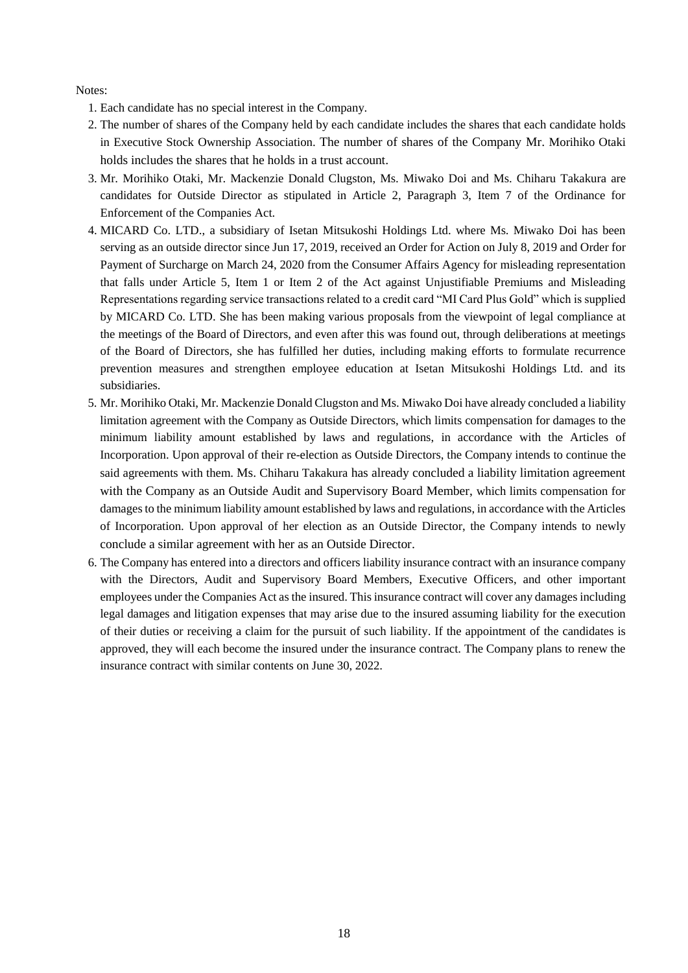Notes:

- 1. Each candidate has no special interest in the Company.
- 2. The number of shares of the Company held by each candidate includes the shares that each candidate holds in Executive Stock Ownership Association. The number of shares of the Company Mr. Morihiko Otaki holds includes the shares that he holds in a trust account.
- 3. Mr. Morihiko Otaki, Mr. Mackenzie Donald Clugston, Ms. Miwako Doi and Ms. Chiharu Takakura are candidates for Outside Director as stipulated in Article 2, Paragraph 3, Item 7 of the Ordinance for Enforcement of the Companies Act.
- 4. MICARD Co. LTD., a subsidiary of Isetan Mitsukoshi Holdings Ltd. where Ms. Miwako Doi has been serving as an outside director since Jun 17, 2019, received an Order for Action on July 8, 2019 and Order for Payment of Surcharge on March 24, 2020 from the Consumer Affairs Agency for misleading representation that falls under Article 5, Item 1 or Item 2 of the Act against Unjustifiable Premiums and Misleading Representations regarding service transactions related to a credit card "MI Card Plus Gold" which is supplied by MICARD Co. LTD. She has been making various proposals from the viewpoint of legal compliance at the meetings of the Board of Directors, and even after this was found out, through deliberations at meetings of the Board of Directors, she has fulfilled her duties, including making efforts to formulate recurrence prevention measures and strengthen employee education at Isetan Mitsukoshi Holdings Ltd. and its subsidiaries.
- 5. Mr. Morihiko Otaki, Mr. Mackenzie Donald Clugston and Ms. Miwako Doi have already concluded a liability limitation agreement with the Company as Outside Directors, which limits compensation for damages to the minimum liability amount established by laws and regulations, in accordance with the Articles of Incorporation. Upon approval of their re-election as Outside Directors, the Company intends to continue the said agreements with them. Ms. Chiharu Takakura has already concluded a liability limitation agreement with the Company as an Outside Audit and Supervisory Board Member, which limits compensation for damages to the minimum liability amount established by laws and regulations, in accordance with the Articles of Incorporation. Upon approval of her election as an Outside Director, the Company intends to newly conclude a similar agreement with her as an Outside Director.
- 6. The Company has entered into a directors and officers liability insurance contract with an insurance company with the Directors, Audit and Supervisory Board Members, Executive Officers, and other important employees under the Companies Act as the insured. This insurance contract will cover any damages including legal damages and litigation expenses that may arise due to the insured assuming liability for the execution of their duties or receiving a claim for the pursuit of such liability. If the appointment of the candidates is approved, they will each become the insured under the insurance contract. The Company plans to renew the insurance contract with similar contents on June 30, 2022.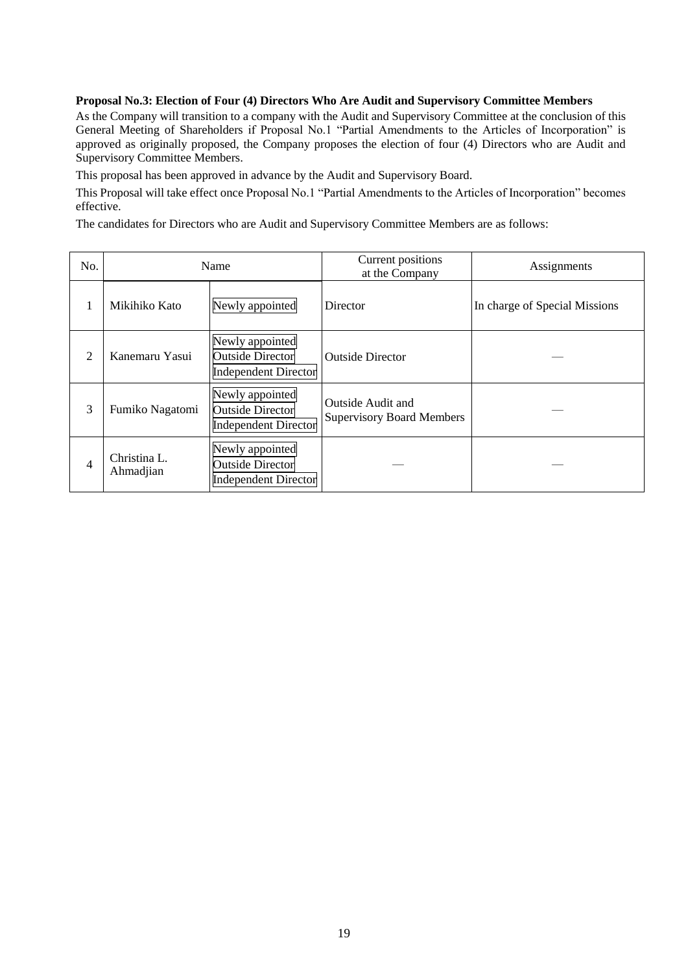## **Proposal No.3: Election of Four (4) Directors Who Are Audit and Supervisory Committee Members**

As the Company will transition to a company with the Audit and Supervisory Committee at the conclusion of this General Meeting of Shareholders if Proposal No.1 "Partial Amendments to the Articles of Incorporation" is approved as originally proposed, the Company proposes the election of four (4) Directors who are Audit and Supervisory Committee Members.

This proposal has been approved in advance by the Audit and Supervisory Board.

This Proposal will take effect once Proposal No.1 "Partial Amendments to the Articles of Incorporation" becomes effective.

The candidates for Directors who are Audit and Supervisory Committee Members are as follows:

| No.            |                           | Name                                                                      | Current positions<br>at the Company                   | Assignments                   |
|----------------|---------------------------|---------------------------------------------------------------------------|-------------------------------------------------------|-------------------------------|
|                | Mikihiko Kato             | Newly appointed                                                           | <b>Director</b>                                       | In charge of Special Missions |
| $\overline{2}$ | Kanemaru Yasui            | Newly appointed<br><b>Outside Director</b><br><b>Independent Director</b> | <b>Outside Director</b>                               |                               |
| 3              | Fumiko Nagatomi           | Newly appointed<br><b>Outside Director</b><br><b>Independent Director</b> | Outside Audit and<br><b>Supervisory Board Members</b> |                               |
| 4              | Christina L.<br>Ahmadjian | Newly appointed<br><b>Outside Director</b><br><b>Independent Director</b> |                                                       |                               |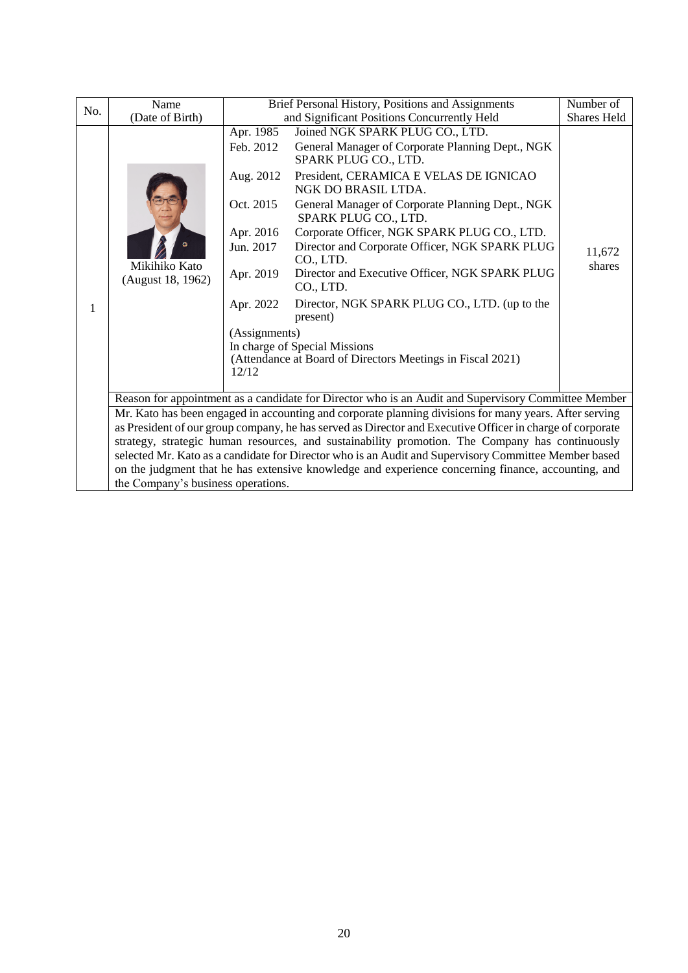| No. | Name                               |                                                                                             | Brief Personal History, Positions and Assignments                                                                                                                                                       |                  |  |  |
|-----|------------------------------------|---------------------------------------------------------------------------------------------|---------------------------------------------------------------------------------------------------------------------------------------------------------------------------------------------------------|------------------|--|--|
|     | (Date of Birth)                    |                                                                                             | and Significant Positions Concurrently Held                                                                                                                                                             |                  |  |  |
|     |                                    | Apr. 1985<br>Feb. 2012                                                                      | Joined NGK SPARK PLUG CO., LTD.<br>General Manager of Corporate Planning Dept., NGK<br>SPARK PLUG CO., LTD.                                                                                             |                  |  |  |
|     |                                    | Aug. 2012                                                                                   | President, CERAMICA E VELAS DE IGNICAO<br>NGK DO BRASIL LTDA.                                                                                                                                           |                  |  |  |
|     |                                    | Oct. 2015                                                                                   | General Manager of Corporate Planning Dept., NGK<br>SPARK PLUG CO., LTD.                                                                                                                                |                  |  |  |
|     |                                    | Apr. 2016                                                                                   | Corporate Officer, NGK SPARK PLUG CO., LTD.                                                                                                                                                             |                  |  |  |
|     | Mikihiko Kato<br>(August 18, 1962) | Jun. 2017                                                                                   | Director and Corporate Officer, NGK SPARK PLUG<br>CO., LTD.                                                                                                                                             | 11,672<br>shares |  |  |
|     |                                    | Director and Executive Officer, NGK SPARK PLUG<br>Apr. 2019<br>CO., LTD.                    |                                                                                                                                                                                                         |                  |  |  |
| 1   |                                    | Apr. 2022                                                                                   | Director, NGK SPARK PLUG CO., LTD. (up to the<br>present)                                                                                                                                               |                  |  |  |
|     |                                    | (Assignments)                                                                               |                                                                                                                                                                                                         |                  |  |  |
|     |                                    | In charge of Special Missions<br>(Attendance at Board of Directors Meetings in Fiscal 2021) |                                                                                                                                                                                                         |                  |  |  |
|     |                                    | 12/12                                                                                       |                                                                                                                                                                                                         |                  |  |  |
|     |                                    |                                                                                             |                                                                                                                                                                                                         |                  |  |  |
|     |                                    |                                                                                             | Reason for appointment as a candidate for Director who is an Audit and Supervisory Committee Member                                                                                                     |                  |  |  |
|     |                                    |                                                                                             | Mr. Kato has been engaged in accounting and corporate planning divisions for many years. After serving                                                                                                  |                  |  |  |
|     |                                    |                                                                                             | as President of our group company, he has served as Director and Executive Officer in charge of corporate                                                                                               |                  |  |  |
|     |                                    |                                                                                             | strategy, strategic human resources, and sustainability promotion. The Company has continuously<br>selected Mr. Kato as a candidate for Director who is an Audit and Supervisory Committee Member based |                  |  |  |
|     |                                    |                                                                                             | on the judgment that he has extensive knowledge and experience concerning finance, accounting, and                                                                                                      |                  |  |  |
|     | the Company's business operations. |                                                                                             |                                                                                                                                                                                                         |                  |  |  |
|     |                                    |                                                                                             |                                                                                                                                                                                                         |                  |  |  |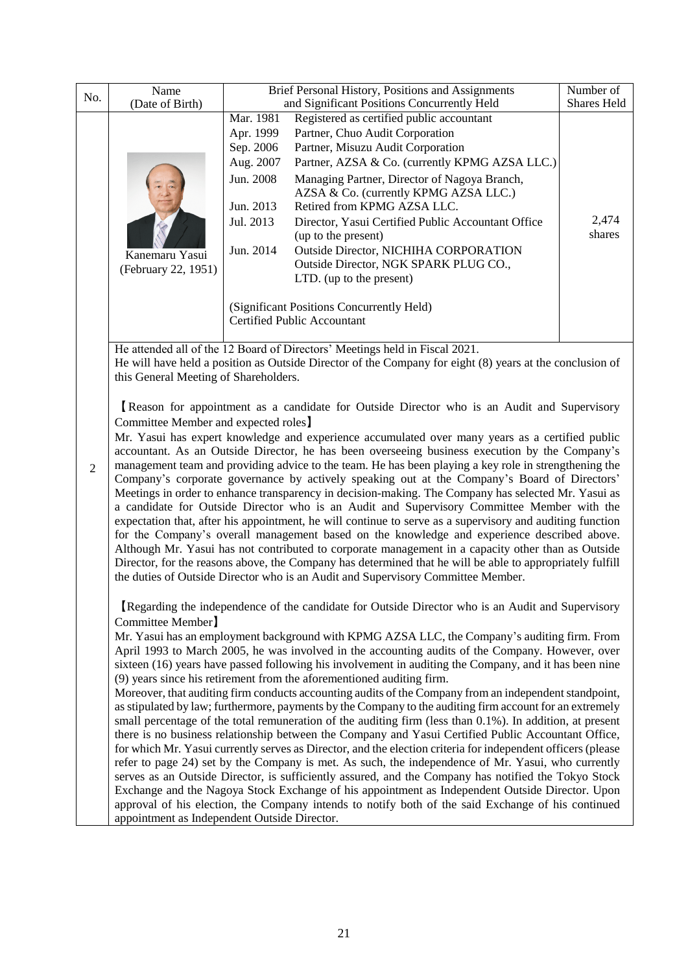| No.                                                                                            | Name                                                                                                                                                                            | Brief Personal History, Positions and Assignments | Number of<br>Shares Held                                                                                                                                                                              |                 |  |  |
|------------------------------------------------------------------------------------------------|---------------------------------------------------------------------------------------------------------------------------------------------------------------------------------|---------------------------------------------------|-------------------------------------------------------------------------------------------------------------------------------------------------------------------------------------------------------|-----------------|--|--|
|                                                                                                | (Date of Birth)                                                                                                                                                                 |                                                   | and Significant Positions Concurrently Held<br>Mar. 1981<br>Registered as certified public accountant                                                                                                 |                 |  |  |
|                                                                                                |                                                                                                                                                                                 | Apr. 1999                                         | Partner, Chuo Audit Corporation                                                                                                                                                                       |                 |  |  |
|                                                                                                |                                                                                                                                                                                 | Sep. 2006                                         | Partner, Misuzu Audit Corporation                                                                                                                                                                     |                 |  |  |
|                                                                                                |                                                                                                                                                                                 | Aug. 2007                                         | Partner, AZSA & Co. (currently KPMG AZSA LLC.)                                                                                                                                                        |                 |  |  |
|                                                                                                |                                                                                                                                                                                 | Jun. 2008                                         | Managing Partner, Director of Nagoya Branch,<br>AZSA & Co. (currently KPMG AZSA LLC.)                                                                                                                 |                 |  |  |
|                                                                                                |                                                                                                                                                                                 | Jun. 2013                                         | Retired from KPMG AZSA LLC.                                                                                                                                                                           |                 |  |  |
|                                                                                                |                                                                                                                                                                                 | Jul. 2013                                         | Director, Yasui Certified Public Accountant Office<br>(up to the present)                                                                                                                             | 2,474<br>shares |  |  |
|                                                                                                |                                                                                                                                                                                 | Jun. 2014                                         | Outside Director, NICHIHA CORPORATION                                                                                                                                                                 |                 |  |  |
|                                                                                                | Kanemaru Yasui<br>(February 22, 1951)                                                                                                                                           |                                                   | Outside Director, NGK SPARK PLUG CO.,                                                                                                                                                                 |                 |  |  |
|                                                                                                |                                                                                                                                                                                 |                                                   | LTD. (up to the present)                                                                                                                                                                              |                 |  |  |
|                                                                                                |                                                                                                                                                                                 |                                                   | (Significant Positions Concurrently Held)                                                                                                                                                             |                 |  |  |
|                                                                                                |                                                                                                                                                                                 |                                                   | <b>Certified Public Accountant</b>                                                                                                                                                                    |                 |  |  |
|                                                                                                |                                                                                                                                                                                 |                                                   | He attended all of the 12 Board of Directors' Meetings held in Fiscal 2021.                                                                                                                           |                 |  |  |
|                                                                                                |                                                                                                                                                                                 |                                                   | He will have held a position as Outside Director of the Company for eight (8) years at the conclusion of                                                                                              |                 |  |  |
|                                                                                                | this General Meeting of Shareholders.                                                                                                                                           |                                                   |                                                                                                                                                                                                       |                 |  |  |
|                                                                                                |                                                                                                                                                                                 |                                                   | Reason for appointment as a candidate for Outside Director who is an Audit and Supervisory                                                                                                            |                 |  |  |
| Committee Member and expected roles                                                            |                                                                                                                                                                                 |                                                   |                                                                                                                                                                                                       |                 |  |  |
|                                                                                                | Mr. Yasui has expert knowledge and experience accumulated over many years as a certified public                                                                                 |                                                   |                                                                                                                                                                                                       |                 |  |  |
| accountant. As an Outside Director, he has been overseeing business execution by the Company's |                                                                                                                                                                                 |                                                   |                                                                                                                                                                                                       |                 |  |  |
| $\overline{2}$                                                                                 |                                                                                                                                                                                 |                                                   | management team and providing advice to the team. He has been playing a key role in strengthening the<br>Company's corporate governance by actively speaking out at the Company's Board of Directors' |                 |  |  |
|                                                                                                |                                                                                                                                                                                 |                                                   | Meetings in order to enhance transparency in decision-making. The Company has selected Mr. Yasui as                                                                                                   |                 |  |  |
|                                                                                                |                                                                                                                                                                                 |                                                   | a candidate for Outside Director who is an Audit and Supervisory Committee Member with the                                                                                                            |                 |  |  |
|                                                                                                |                                                                                                                                                                                 |                                                   | expectation that, after his appointment, he will continue to serve as a supervisory and auditing function                                                                                             |                 |  |  |
|                                                                                                |                                                                                                                                                                                 |                                                   | for the Company's overall management based on the knowledge and experience described above.                                                                                                           |                 |  |  |
|                                                                                                |                                                                                                                                                                                 |                                                   | Although Mr. Yasui has not contributed to corporate management in a capacity other than as Outside                                                                                                    |                 |  |  |
|                                                                                                |                                                                                                                                                                                 |                                                   | Director, for the reasons above, the Company has determined that he will be able to appropriately fulfill                                                                                             |                 |  |  |
|                                                                                                |                                                                                                                                                                                 |                                                   | the duties of Outside Director who is an Audit and Supervisory Committee Member.                                                                                                                      |                 |  |  |
|                                                                                                |                                                                                                                                                                                 |                                                   | Regarding the independence of the candidate for Outside Director who is an Audit and Supervisory                                                                                                      |                 |  |  |
|                                                                                                | Committee Member]                                                                                                                                                               |                                                   |                                                                                                                                                                                                       |                 |  |  |
|                                                                                                |                                                                                                                                                                                 |                                                   | Mr. Yasui has an employment background with KPMG AZSA LLC, the Company's auditing firm. From                                                                                                          |                 |  |  |
|                                                                                                |                                                                                                                                                                                 |                                                   | April 1993 to March 2005, he was involved in the accounting audits of the Company. However, over                                                                                                      |                 |  |  |
|                                                                                                | sixteen (16) years have passed following his involvement in auditing the Company, and it has been nine                                                                          |                                                   |                                                                                                                                                                                                       |                 |  |  |
|                                                                                                | (9) years since his retirement from the aforementioned auditing firm.<br>Moreover, that auditing firm conducts accounting audits of the Company from an independent standpoint, |                                                   |                                                                                                                                                                                                       |                 |  |  |
|                                                                                                | as stipulated by law; furthermore, payments by the Company to the auditing firm account for an extremely                                                                        |                                                   |                                                                                                                                                                                                       |                 |  |  |
|                                                                                                | small percentage of the total remuneration of the auditing firm (less than 0.1%). In addition, at present                                                                       |                                                   |                                                                                                                                                                                                       |                 |  |  |
|                                                                                                |                                                                                                                                                                                 |                                                   | there is no business relationship between the Company and Yasui Certified Public Accountant Office,                                                                                                   |                 |  |  |
|                                                                                                |                                                                                                                                                                                 |                                                   | for which Mr. Yasui currently serves as Director, and the election criteria for independent officers (please                                                                                          |                 |  |  |
|                                                                                                |                                                                                                                                                                                 |                                                   | refer to page 24) set by the Company is met. As such, the independence of Mr. Yasui, who currently                                                                                                    |                 |  |  |
|                                                                                                |                                                                                                                                                                                 |                                                   | serves as an Outside Director, is sufficiently assured, and the Company has notified the Tokyo Stock                                                                                                  |                 |  |  |
|                                                                                                |                                                                                                                                                                                 |                                                   | Exchange and the Nagoya Stock Exchange of his appointment as Independent Outside Director. Upon<br>approval of his election, the Company intends to notify both of the said Exchange of his continued |                 |  |  |
|                                                                                                | appointment as Independent Outside Director.                                                                                                                                    |                                                   |                                                                                                                                                                                                       |                 |  |  |
|                                                                                                |                                                                                                                                                                                 |                                                   |                                                                                                                                                                                                       |                 |  |  |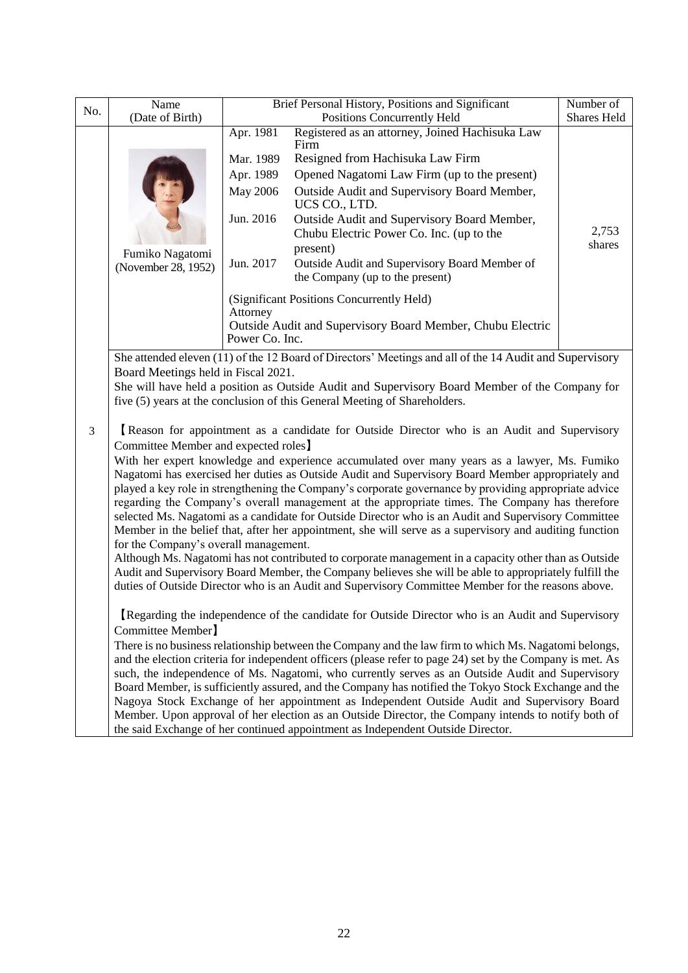| No. | Name<br>(Date of Birth)                                                                                                                                                                                                                                                                                                                                                                                                                                                                                                                                                                                                                                                                                                                                                                                                                                                                                                                                                                                                                                                                                                               | Brief Personal History, Positions and Significant | Number of<br>Shares Held                                                                                                                                                                                                                                                                                                                                                                                                                                                                                                                         |  |  |  |
|-----|---------------------------------------------------------------------------------------------------------------------------------------------------------------------------------------------------------------------------------------------------------------------------------------------------------------------------------------------------------------------------------------------------------------------------------------------------------------------------------------------------------------------------------------------------------------------------------------------------------------------------------------------------------------------------------------------------------------------------------------------------------------------------------------------------------------------------------------------------------------------------------------------------------------------------------------------------------------------------------------------------------------------------------------------------------------------------------------------------------------------------------------|---------------------------------------------------|--------------------------------------------------------------------------------------------------------------------------------------------------------------------------------------------------------------------------------------------------------------------------------------------------------------------------------------------------------------------------------------------------------------------------------------------------------------------------------------------------------------------------------------------------|--|--|--|
|     | Apr. 1981<br>Mar. 1989<br>Apr. 1989<br>May 2006<br>Jun. 2016<br>Fumiko Nagatomi<br>Jun. 2017<br>(November 28, 1952)<br>Attorney                                                                                                                                                                                                                                                                                                                                                                                                                                                                                                                                                                                                                                                                                                                                                                                                                                                                                                                                                                                                       |                                                   | Positions Concurrently Held<br>Registered as an attorney, Joined Hachisuka Law<br>Firm<br>Resigned from Hachisuka Law Firm<br>Opened Nagatomi Law Firm (up to the present)<br>Outside Audit and Supervisory Board Member,<br>UCS CO., LTD.<br>Outside Audit and Supervisory Board Member,<br>Chubu Electric Power Co. Inc. (up to the<br>present)<br>Outside Audit and Supervisory Board Member of<br>the Company (up to the present)<br>(Significant Positions Concurrently Held)<br>Outside Audit and Supervisory Board Member, Chubu Electric |  |  |  |
|     |                                                                                                                                                                                                                                                                                                                                                                                                                                                                                                                                                                                                                                                                                                                                                                                                                                                                                                                                                                                                                                                                                                                                       | Power Co. Inc.                                    | She attended eleven (11) of the 12 Board of Directors' Meetings and all of the 14 Audit and Supervisory                                                                                                                                                                                                                                                                                                                                                                                                                                          |  |  |  |
|     | Board Meetings held in Fiscal 2021.                                                                                                                                                                                                                                                                                                                                                                                                                                                                                                                                                                                                                                                                                                                                                                                                                                                                                                                                                                                                                                                                                                   |                                                   | She will have held a position as Outside Audit and Supervisory Board Member of the Company for<br>five (5) years at the conclusion of this General Meeting of Shareholders.                                                                                                                                                                                                                                                                                                                                                                      |  |  |  |
| 3   | Reason for appointment as a candidate for Outside Director who is an Audit and Supervisory<br>Committee Member and expected roles<br>With her expert knowledge and experience accumulated over many years as a lawyer, Ms. Fumiko<br>Nagatomi has exercised her duties as Outside Audit and Supervisory Board Member appropriately and<br>played a key role in strengthening the Company's corporate governance by providing appropriate advice<br>regarding the Company's overall management at the appropriate times. The Company has therefore<br>selected Ms. Nagatomi as a candidate for Outside Director who is an Audit and Supervisory Committee<br>Member in the belief that, after her appointment, she will serve as a supervisory and auditing function<br>for the Company's overall management.<br>Although Ms. Nagatomi has not contributed to corporate management in a capacity other than as Outside<br>Audit and Supervisory Board Member, the Company believes she will be able to appropriately fulfill the<br>duties of Outside Director who is an Audit and Supervisory Committee Member for the reasons above. |                                                   |                                                                                                                                                                                                                                                                                                                                                                                                                                                                                                                                                  |  |  |  |
|     | Regarding the independence of the candidate for Outside Director who is an Audit and Supervisory<br>Committee Member]<br>There is no business relationship between the Company and the law firm to which Ms. Nagatomi belongs,<br>and the election criteria for independent officers (please refer to page 24) set by the Company is met. As<br>such, the independence of Ms. Nagatomi, who currently serves as an Outside Audit and Supervisory<br>Board Member, is sufficiently assured, and the Company has notified the Tokyo Stock Exchange and the<br>Nagoya Stock Exchange of her appointment as Independent Outside Audit and Supervisory Board<br>Member. Upon approval of her election as an Outside Director, the Company intends to notify both of<br>the said Exchange of her continued appointment as Independent Outside Director.                                                                                                                                                                                                                                                                                     |                                                   |                                                                                                                                                                                                                                                                                                                                                                                                                                                                                                                                                  |  |  |  |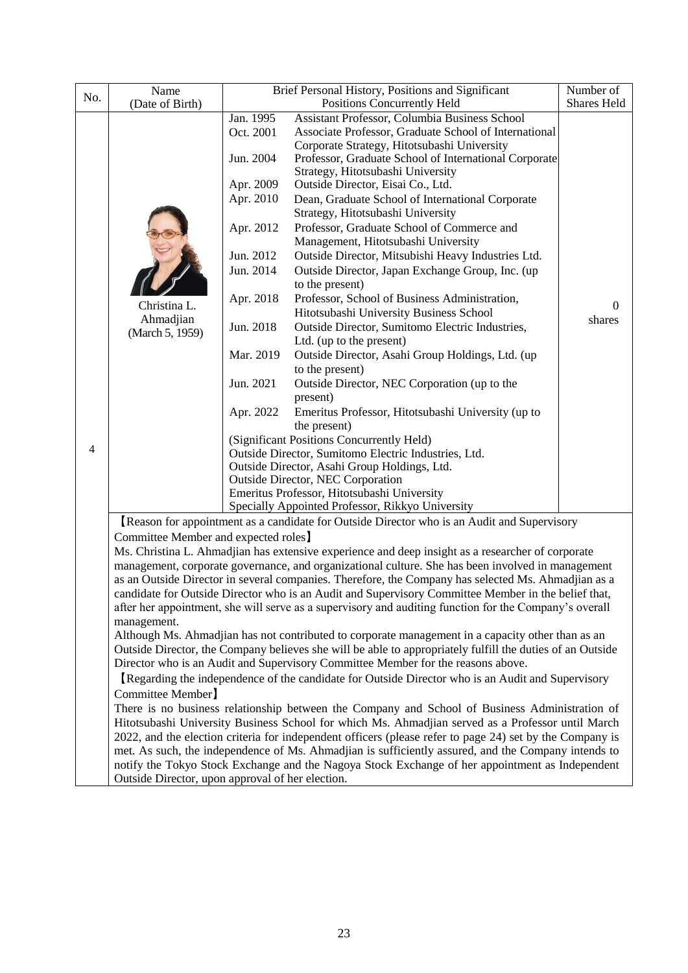|     | Name                                                                                                                                                                                                           | Brief Personal History, Positions and Significant               | Number of                                                                                              |                |  |  |  |  |
|-----|----------------------------------------------------------------------------------------------------------------------------------------------------------------------------------------------------------------|-----------------------------------------------------------------|--------------------------------------------------------------------------------------------------------|----------------|--|--|--|--|
| No. | (Date of Birth)                                                                                                                                                                                                |                                                                 | Positions Concurrently Held                                                                            |                |  |  |  |  |
|     |                                                                                                                                                                                                                | Jan. 1995                                                       | Assistant Professor, Columbia Business School                                                          |                |  |  |  |  |
|     |                                                                                                                                                                                                                | Oct. 2001                                                       |                                                                                                        |                |  |  |  |  |
|     |                                                                                                                                                                                                                |                                                                 | Corporate Strategy, Hitotsubashi University                                                            |                |  |  |  |  |
|     |                                                                                                                                                                                                                | Jun. 2004                                                       | Professor, Graduate School of International Corporate                                                  |                |  |  |  |  |
|     |                                                                                                                                                                                                                |                                                                 | Strategy, Hitotsubashi University                                                                      |                |  |  |  |  |
|     |                                                                                                                                                                                                                | Apr. 2009                                                       | Outside Director, Eisai Co., Ltd.                                                                      |                |  |  |  |  |
|     |                                                                                                                                                                                                                | Apr. 2010                                                       | Dean, Graduate School of International Corporate                                                       |                |  |  |  |  |
|     |                                                                                                                                                                                                                |                                                                 | Strategy, Hitotsubashi University                                                                      |                |  |  |  |  |
|     |                                                                                                                                                                                                                | Apr. 2012                                                       | Professor, Graduate School of Commerce and                                                             |                |  |  |  |  |
|     |                                                                                                                                                                                                                |                                                                 | Management, Hitotsubashi University                                                                    |                |  |  |  |  |
|     |                                                                                                                                                                                                                | Jun. 2012                                                       | Outside Director, Mitsubishi Heavy Industries Ltd.                                                     |                |  |  |  |  |
|     |                                                                                                                                                                                                                | Jun. 2014                                                       | Outside Director, Japan Exchange Group, Inc. (up<br>to the present)                                    |                |  |  |  |  |
|     |                                                                                                                                                                                                                | Apr. 2018                                                       | Professor, School of Business Administration,                                                          |                |  |  |  |  |
|     | Christina L.                                                                                                                                                                                                   |                                                                 | Hitotsubashi University Business School                                                                | $\overline{0}$ |  |  |  |  |
|     | Ahmadjian                                                                                                                                                                                                      | Jun. 2018                                                       | Outside Director, Sumitomo Electric Industries,                                                        | shares         |  |  |  |  |
|     | (March 5, 1959)                                                                                                                                                                                                |                                                                 | Ltd. (up to the present)                                                                               |                |  |  |  |  |
|     |                                                                                                                                                                                                                | Mar. 2019                                                       | Outside Director, Asahi Group Holdings, Ltd. (up                                                       |                |  |  |  |  |
|     |                                                                                                                                                                                                                |                                                                 | to the present)                                                                                        |                |  |  |  |  |
|     |                                                                                                                                                                                                                | Jun. 2021                                                       | Outside Director, NEC Corporation (up to the                                                           |                |  |  |  |  |
|     |                                                                                                                                                                                                                |                                                                 | present)                                                                                               |                |  |  |  |  |
|     |                                                                                                                                                                                                                | Apr. 2022<br>Emeritus Professor, Hitotsubashi University (up to |                                                                                                        |                |  |  |  |  |
|     |                                                                                                                                                                                                                |                                                                 | the present)                                                                                           |                |  |  |  |  |
|     |                                                                                                                                                                                                                | (Significant Positions Concurrently Held)                       |                                                                                                        |                |  |  |  |  |
| 4   |                                                                                                                                                                                                                |                                                                 | Outside Director, Sumitomo Electric Industries, Ltd.<br>Outside Director, Asahi Group Holdings, Ltd.   |                |  |  |  |  |
|     |                                                                                                                                                                                                                |                                                                 |                                                                                                        |                |  |  |  |  |
|     |                                                                                                                                                                                                                |                                                                 | <b>Outside Director, NEC Corporation</b>                                                               |                |  |  |  |  |
|     |                                                                                                                                                                                                                |                                                                 | Emeritus Professor, Hitotsubashi University                                                            |                |  |  |  |  |
|     |                                                                                                                                                                                                                |                                                                 | Specially Appointed Professor, Rikkyo University                                                       |                |  |  |  |  |
|     |                                                                                                                                                                                                                |                                                                 | Reason for appointment as a candidate for Outside Director who is an Audit and Supervisory             |                |  |  |  |  |
|     | Committee Member and expected roles                                                                                                                                                                            |                                                                 |                                                                                                        |                |  |  |  |  |
|     |                                                                                                                                                                                                                |                                                                 | Ms. Christina L. Ahmadjian has extensive experience and deep insight as a researcher of corporate      |                |  |  |  |  |
|     |                                                                                                                                                                                                                |                                                                 | management, corporate governance, and organizational culture. She has been involved in management      |                |  |  |  |  |
|     |                                                                                                                                                                                                                |                                                                 | as an Outside Director in several companies. Therefore, the Company has selected Ms. Ahmadjian as a    |                |  |  |  |  |
|     |                                                                                                                                                                                                                |                                                                 | candidate for Outside Director who is an Audit and Supervisory Committee Member in the belief that,    |                |  |  |  |  |
|     |                                                                                                                                                                                                                |                                                                 | after her appointment, she will serve as a supervisory and auditing function for the Company's overall |                |  |  |  |  |
|     | management.                                                                                                                                                                                                    |                                                                 |                                                                                                        |                |  |  |  |  |
|     | Although Ms. Ahmadjian has not contributed to corporate management in a capacity other than as an<br>Outside Director, the Company believes she will be able to appropriately fulfill the duties of an Outside |                                                                 |                                                                                                        |                |  |  |  |  |
|     |                                                                                                                                                                                                                |                                                                 |                                                                                                        |                |  |  |  |  |
|     |                                                                                                                                                                                                                |                                                                 | Director who is an Audit and Supervisory Committee Member for the reasons above.                       |                |  |  |  |  |
|     |                                                                                                                                                                                                                |                                                                 | Regarding the independence of the candidate for Outside Director who is an Audit and Supervisory       |                |  |  |  |  |
|     | Committee Member]                                                                                                                                                                                              |                                                                 |                                                                                                        |                |  |  |  |  |
|     |                                                                                                                                                                                                                |                                                                 | There is no business relationship between the Company and School of Business Administration of         |                |  |  |  |  |
|     |                                                                                                                                                                                                                |                                                                 |                                                                                                        |                |  |  |  |  |
|     | Hitotsubashi University Business School for which Ms. Ahmadjian served as a Professor until March<br>2022, and the election criteria for independent officers (please refer to page 24) set by the Company is  |                                                                 |                                                                                                        |                |  |  |  |  |
|     | met. As such, the independence of Ms. Ahmadjian is sufficiently assured, and the Company intends to                                                                                                            |                                                                 |                                                                                                        |                |  |  |  |  |
|     |                                                                                                                                                                                                                |                                                                 | notify the Tokyo Stock Exchange and the Nagoya Stock Exchange of her appointment as Independent        |                |  |  |  |  |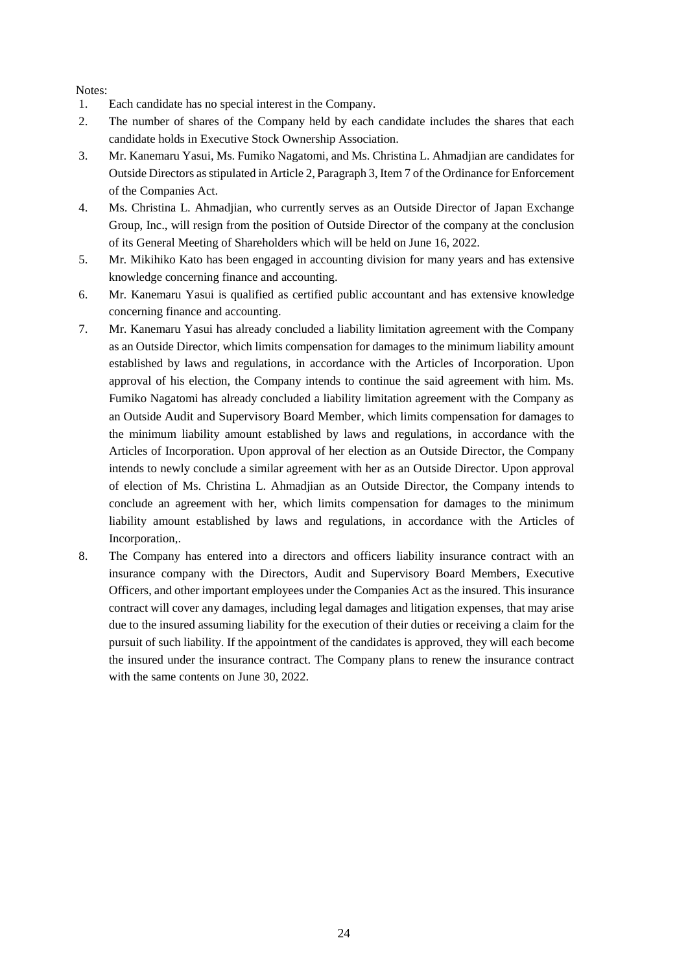Notes:

- 1. Each candidate has no special interest in the Company.
- 2. The number of shares of the Company held by each candidate includes the shares that each candidate holds in Executive Stock Ownership Association.
- 3. Mr. Kanemaru Yasui, Ms. Fumiko Nagatomi, and Ms. Christina L. Ahmadjian are candidates for Outside Directors as stipulated in Article 2, Paragraph 3, Item 7 of the Ordinance for Enforcement of the Companies Act.
- 4. Ms. Christina L. Ahmadjian, who currently serves as an Outside Director of Japan Exchange Group, Inc., will resign from the position of Outside Director of the company at the conclusion of its General Meeting of Shareholders which will be held on June 16, 2022.
- 5. Mr. Mikihiko Kato has been engaged in accounting division for many years and has extensive knowledge concerning finance and accounting.
- 6. Mr. Kanemaru Yasui is qualified as certified public accountant and has extensive knowledge concerning finance and accounting.
- 7. Mr. Kanemaru Yasui has already concluded a liability limitation agreement with the Company as an Outside Director, which limits compensation for damages to the minimum liability amount established by laws and regulations, in accordance with the Articles of Incorporation. Upon approval of his election, the Company intends to continue the said agreement with him. Ms. Fumiko Nagatomi has already concluded a liability limitation agreement with the Company as an Outside Audit and Supervisory Board Member, which limits compensation for damages to the minimum liability amount established by laws and regulations, in accordance with the Articles of Incorporation. Upon approval of her election as an Outside Director, the Company intends to newly conclude a similar agreement with her as an Outside Director. Upon approval of election of Ms. Christina L. Ahmadjian as an Outside Director, the Company intends to conclude an agreement with her, which limits compensation for damages to the minimum liability amount established by laws and regulations, in accordance with the Articles of Incorporation,.
- 8. The Company has entered into a directors and officers liability insurance contract with an insurance company with the Directors, Audit and Supervisory Board Members, Executive Officers, and other important employees under the Companies Act as the insured. This insurance contract will cover any damages, including legal damages and litigation expenses, that may arise due to the insured assuming liability for the execution of their duties or receiving a claim for the pursuit of such liability. If the appointment of the candidates is approved, they will each become the insured under the insurance contract. The Company plans to renew the insurance contract with the same contents on June 30, 2022.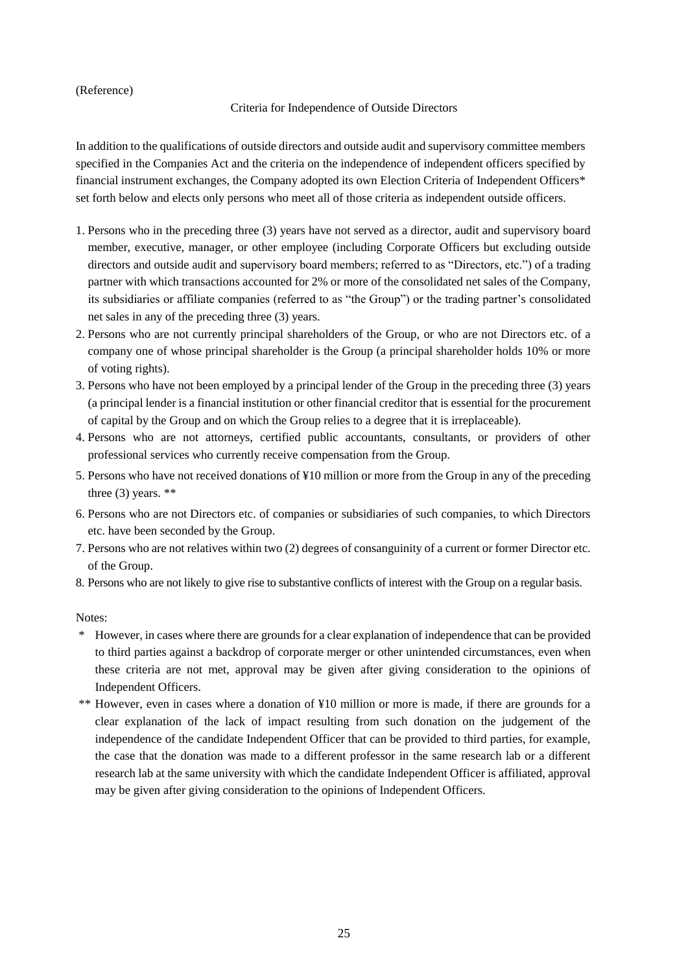## (Reference)

## Criteria for Independence of Outside Directors

In addition to the qualifications of outside directors and outside audit and supervisory committee members specified in the Companies Act and the criteria on the independence of independent officers specified by financial instrument exchanges, the Company adopted its own Election Criteria of Independent Officers\* set forth below and elects only persons who meet all of those criteria as independent outside officers.

- 1. Persons who in the preceding three (3) years have not served as a director, audit and supervisory board member, executive, manager, or other employee (including Corporate Officers but excluding outside directors and outside audit and supervisory board members; referred to as "Directors, etc.") of a trading partner with which transactions accounted for 2% or more of the consolidated net sales of the Company, its subsidiaries or affiliate companies (referred to as "the Group") or the trading partner's consolidated net sales in any of the preceding three (3) years.
- 2. Persons who are not currently principal shareholders of the Group, or who are not Directors etc. of a company one of whose principal shareholder is the Group (a principal shareholder holds 10% or more of voting rights).
- 3. Persons who have not been employed by a principal lender of the Group in the preceding three (3) years (a principal lender is a financial institution or other financial creditor that is essential for the procurement of capital by the Group and on which the Group relies to a degree that it is irreplaceable).
- 4. Persons who are not attorneys, certified public accountants, consultants, or providers of other professional services who currently receive compensation from the Group.
- 5. Persons who have not received donations of ¥10 million or more from the Group in any of the preceding three  $(3)$  years. \*\*
- 6. Persons who are not Directors etc. of companies or subsidiaries of such companies, to which Directors etc. have been seconded by the Group.
- 7. Persons who are not relatives within two (2) degrees of consanguinity of a current or former Director etc. of the Group.
- 8. Persons who are not likely to give rise to substantive conflicts of interest with the Group on a regular basis.

Notes:

- \* However, in cases where there are grounds for a clear explanation of independence that can be provided to third parties against a backdrop of corporate merger or other unintended circumstances, even when these criteria are not met, approval may be given after giving consideration to the opinions of Independent Officers.
- \*\* However, even in cases where a donation of ¥10 million or more is made, if there are grounds for a clear explanation of the lack of impact resulting from such donation on the judgement of the independence of the candidate Independent Officer that can be provided to third parties, for example, the case that the donation was made to a different professor in the same research lab or a different research lab at the same university with which the candidate Independent Officer is affiliated, approval may be given after giving consideration to the opinions of Independent Officers.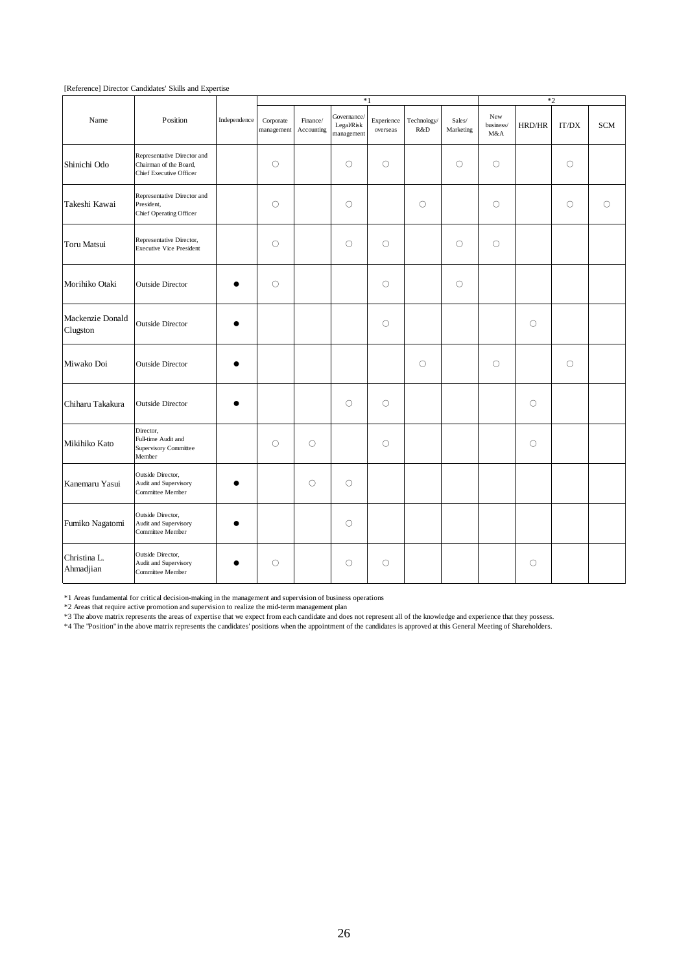|                              |                                                                                  |              |                         | $*1$                   |                                         |                        |                    |                     | $*2$                    |         |         |            |
|------------------------------|----------------------------------------------------------------------------------|--------------|-------------------------|------------------------|-----------------------------------------|------------------------|--------------------|---------------------|-------------------------|---------|---------|------------|
| Name                         | Position                                                                         | Independence | Corporate<br>management | Finance/<br>Accounting | Governance/<br>Legal/Risk<br>management | Experience<br>overseas | Technology/<br>R&D | Sales/<br>Marketing | New<br>business/<br>M&A | HRD/HR  | IT/DX   | <b>SCM</b> |
| Shinichi Odo                 | Representative Director and<br>Chairman of the Board,<br>Chief Executive Officer |              | $\circ$                 |                        | $\circlearrowright$                     | $\circ$                |                    | $\circlearrowright$ | $\circ$                 |         | $\circ$ |            |
| Takeshi Kawai                | Representative Director and<br>President,<br>Chief Operating Officer             |              | $\circlearrowright$     |                        | $\bigcirc$                              |                        | $\circ$            |                     | $\circ$                 |         | $\circ$ | $\bigcirc$ |
| Toru Matsui                  | Representative Director,<br><b>Executive Vice President</b>                      |              | $\circ$                 |                        | $\circlearrowright$                     | $\circ$                |                    | $\bigcirc$          | $\circ$                 |         |         |            |
| Morihiko Otaki               | <b>Outside Director</b>                                                          |              | $\circlearrowright$     |                        |                                         | $\circ$                |                    | $\circlearrowright$ |                         |         |         |            |
| Mackenzie Donald<br>Clugston | <b>Outside Director</b>                                                          |              |                         |                        |                                         | $\circ$                |                    |                     |                         | $\circ$ |         |            |
| Miwako Doi                   | <b>Outside Director</b>                                                          |              |                         |                        |                                         |                        | $\circ$            |                     | $\circ$                 |         | $\circ$ |            |
| Chiharu Takakura             | <b>Outside Director</b>                                                          |              |                         |                        | $\bigcirc$                              | $\circ$                |                    |                     |                         | $\circ$ |         |            |
| Mikihiko Kato                | Director,<br>Full-time Audit and<br>Supervisory Committee<br>Member              |              | $\circ$                 | $\circ$                |                                         | $\circ$                |                    |                     |                         | О       |         |            |
| Kanemaru Yasui               | Outside Director,<br>Audit and Supervisory<br>Committee Member                   |              |                         | $\circ$                | $\circ$                                 |                        |                    |                     |                         |         |         |            |
| Fumiko Nagatomi              | Outside Director,<br>Audit and Supervisory<br>Committee Member                   |              |                         |                        | $\circ$                                 |                        |                    |                     |                         |         |         |            |
| Christina L.<br>Ahmadjian    | Outside Director,<br>Audit and Supervisory<br>Committee Member                   |              | О                       |                        | $\circlearrowright$                     | $\circ$                |                    |                     |                         | О       |         |            |

[Reference] Director Candidates' Skills and Expertise

\*1 Areas fundamental for critical decision-making in the management and supervision of business operations

\*2 Areas that require active promotion and supervision to realize the mid-term management plan

\*3 The above matrix represents the areas of expertise that we expect from each candidate and does not represent all of the knowledge and experience that they possess.

\*4 The "Position" in the above matrix represents the candidates' positions when the appointment of the candidates is approved at this General Meeting of Shareholders.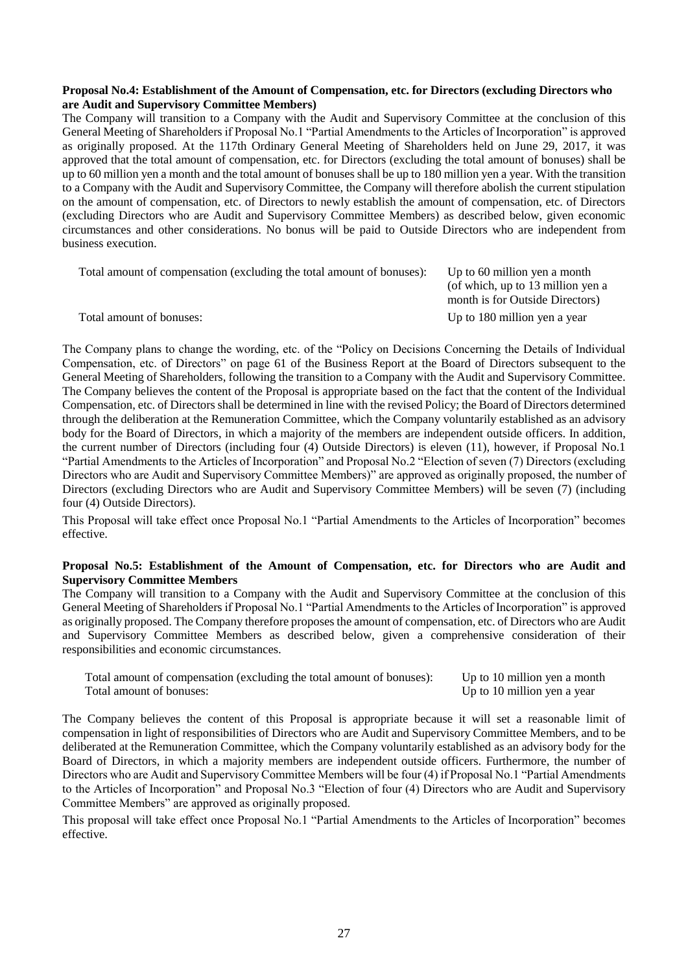#### **Proposal No.4: Establishment of the Amount of Compensation, etc. for Directors (excluding Directors who are Audit and Supervisory Committee Members)**

The Company will transition to a Company with the Audit and Supervisory Committee at the conclusion of this General Meeting of Shareholders if Proposal No.1 "Partial Amendments to the Articles of Incorporation" is approved as originally proposed. At the 117th Ordinary General Meeting of Shareholders held on June 29, 2017, it was approved that the total amount of compensation, etc. for Directors (excluding the total amount of bonuses) shall be up to 60 million yen a month and the total amount of bonuses shall be up to 180 million yen a year. With the transition to a Company with the Audit and Supervisory Committee, the Company will therefore abolish the current stipulation on the amount of compensation, etc. of Directors to newly establish the amount of compensation, etc. of Directors (excluding Directors who are Audit and Supervisory Committee Members) as described below, given economic circumstances and other considerations. No bonus will be paid to Outside Directors who are independent from business execution.

| Total amount of compensation (excluding the total amount of bonuses): | Up to 60 million yen a month<br>(of which, up to 13 million yen a |
|-----------------------------------------------------------------------|-------------------------------------------------------------------|
|                                                                       | month is for Outside Directors)                                   |
| Total amount of bonuses:                                              | Up to 180 million yen a year                                      |

The Company plans to change the wording, etc. of the "Policy on Decisions Concerning the Details of Individual Compensation, etc. of Directors" on page 61 of the Business Report at the Board of Directors subsequent to the General Meeting of Shareholders, following the transition to a Company with the Audit and Supervisory Committee. The Company believes the content of the Proposal is appropriate based on the fact that the content of the Individual Compensation, etc. of Directors shall be determined in line with the revised Policy; the Board of Directors determined through the deliberation at the Remuneration Committee, which the Company voluntarily established as an advisory body for the Board of Directors, in which a majority of the members are independent outside officers. In addition, the current number of Directors (including four (4) Outside Directors) is eleven (11), however, if Proposal No.1 "Partial Amendments to the Articles of Incorporation" and Proposal No.2 "Election of seven (7) Directors (excluding Directors who are Audit and Supervisory Committee Members)" are approved as originally proposed, the number of Directors (excluding Directors who are Audit and Supervisory Committee Members) will be seven (7) (including four (4) Outside Directors).

This Proposal will take effect once Proposal No.1 "Partial Amendments to the Articles of Incorporation" becomes effective.

#### **Proposal No.5: Establishment of the Amount of Compensation, etc. for Directors who are Audit and Supervisory Committee Members**

The Company will transition to a Company with the Audit and Supervisory Committee at the conclusion of this General Meeting of Shareholders if Proposal No.1 "Partial Amendments to the Articles of Incorporation" is approved as originally proposed. The Company therefore proposes the amount of compensation, etc. of Directors who are Audit and Supervisory Committee Members as described below, given a comprehensive consideration of their responsibilities and economic circumstances.

Total amount of compensation (excluding the total amount of bonuses): Up to 10 million yen a month Total amount of bonuses:  $U_p$  to 10 million yen a year

The Company believes the content of this Proposal is appropriate because it will set a reasonable limit of compensation in light of responsibilities of Directors who are Audit and Supervisory Committee Members, and to be deliberated at the Remuneration Committee, which the Company voluntarily established as an advisory body for the Board of Directors, in which a majority members are independent outside officers. Furthermore, the number of Directors who are Audit and Supervisory Committee Members will be four (4) if Proposal No.1 "Partial Amendments to the Articles of Incorporation" and Proposal No.3 "Election of four (4) Directors who are Audit and Supervisory Committee Members" are approved as originally proposed.

This proposal will take effect once Proposal No.1 "Partial Amendments to the Articles of Incorporation" becomes effective.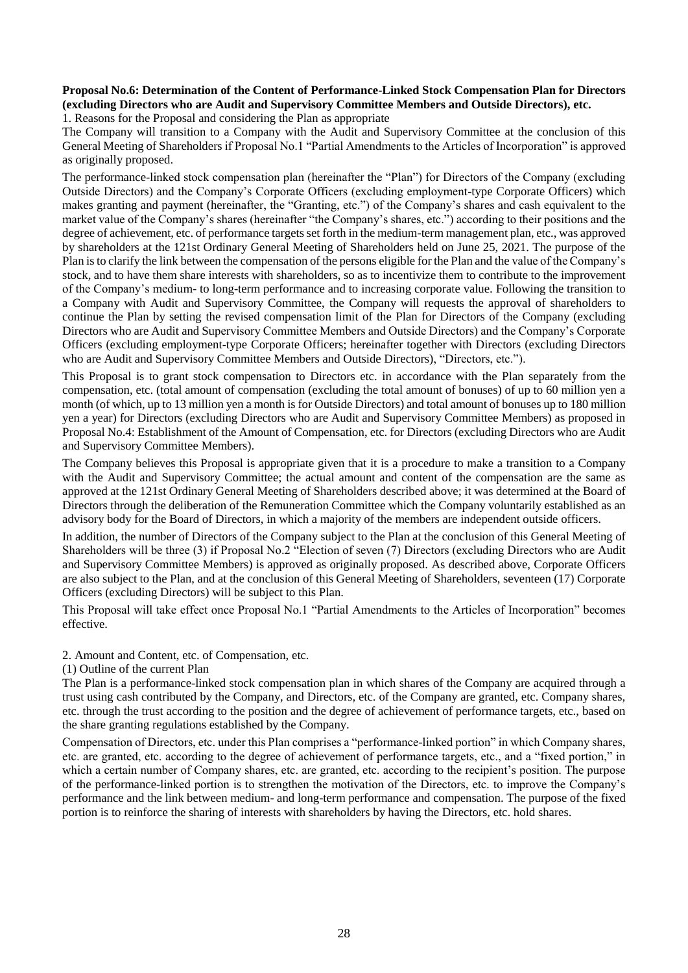## **Proposal No.6: Determination of the Content of Performance-Linked Stock Compensation Plan for Directors (excluding Directors who are Audit and Supervisory Committee Members and Outside Directors), etc.**

1. Reasons for the Proposal and considering the Plan as appropriate

The Company will transition to a Company with the Audit and Supervisory Committee at the conclusion of this General Meeting of Shareholders if Proposal No.1 "Partial Amendments to the Articles of Incorporation" is approved as originally proposed.

The performance-linked stock compensation plan (hereinafter the "Plan") for Directors of the Company (excluding Outside Directors) and the Company's Corporate Officers (excluding employment-type Corporate Officers) which makes granting and payment (hereinafter, the "Granting, etc.") of the Company's shares and cash equivalent to the market value of the Company's shares (hereinafter "the Company's shares, etc.") according to their positions and the degree of achievement, etc. of performance targets set forth in the medium-term management plan, etc., was approved by shareholders at the 121st Ordinary General Meeting of Shareholders held on June 25, 2021. The purpose of the Plan is to clarify the link between the compensation of the persons eligible for the Plan and the value of the Company's stock, and to have them share interests with shareholders, so as to incentivize them to contribute to the improvement of the Company's medium- to long-term performance and to increasing corporate value. Following the transition to a Company with Audit and Supervisory Committee, the Company will requests the approval of shareholders to continue the Plan by setting the revised compensation limit of the Plan for Directors of the Company (excluding Directors who are Audit and Supervisory Committee Members and Outside Directors) and the Company's Corporate Officers (excluding employment-type Corporate Officers; hereinafter together with Directors (excluding Directors who are Audit and Supervisory Committee Members and Outside Directors), "Directors, etc.").

This Proposal is to grant stock compensation to Directors etc. in accordance with the Plan separately from the compensation, etc. (total amount of compensation (excluding the total amount of bonuses) of up to 60 million yen a month (of which, up to 13 million yen a month is for Outside Directors) and total amount of bonuses up to 180 million yen a year) for Directors (excluding Directors who are Audit and Supervisory Committee Members) as proposed in Proposal No.4: Establishment of the Amount of Compensation, etc. for Directors (excluding Directors who are Audit and Supervisory Committee Members).

The Company believes this Proposal is appropriate given that it is a procedure to make a transition to a Company with the Audit and Supervisory Committee; the actual amount and content of the compensation are the same as approved at the 121st Ordinary General Meeting of Shareholders described above; it was determined at the Board of Directors through the deliberation of the Remuneration Committee which the Company voluntarily established as an advisory body for the Board of Directors, in which a majority of the members are independent outside officers.

In addition, the number of Directors of the Company subject to the Plan at the conclusion of this General Meeting of Shareholders will be three (3) if Proposal No.2 "Election of seven (7) Directors (excluding Directors who are Audit and Supervisory Committee Members) is approved as originally proposed. As described above, Corporate Officers are also subject to the Plan, and at the conclusion of this General Meeting of Shareholders, seventeen (17) Corporate Officers (excluding Directors) will be subject to this Plan.

This Proposal will take effect once Proposal No.1 "Partial Amendments to the Articles of Incorporation" becomes effective.

2. Amount and Content, etc. of Compensation, etc.

(1) Outline of the current Plan

The Plan is a performance-linked stock compensation plan in which shares of the Company are acquired through a trust using cash contributed by the Company, and Directors, etc. of the Company are granted, etc. Company shares, etc. through the trust according to the position and the degree of achievement of performance targets, etc., based on the share granting regulations established by the Company.

Compensation of Directors, etc. under this Plan comprises a "performance-linked portion" in which Company shares, etc. are granted, etc. according to the degree of achievement of performance targets, etc., and a "fixed portion," in which a certain number of Company shares, etc. are granted, etc. according to the recipient's position. The purpose of the performance-linked portion is to strengthen the motivation of the Directors, etc. to improve the Company's performance and the link between medium- and long-term performance and compensation. The purpose of the fixed portion is to reinforce the sharing of interests with shareholders by having the Directors, etc. hold shares.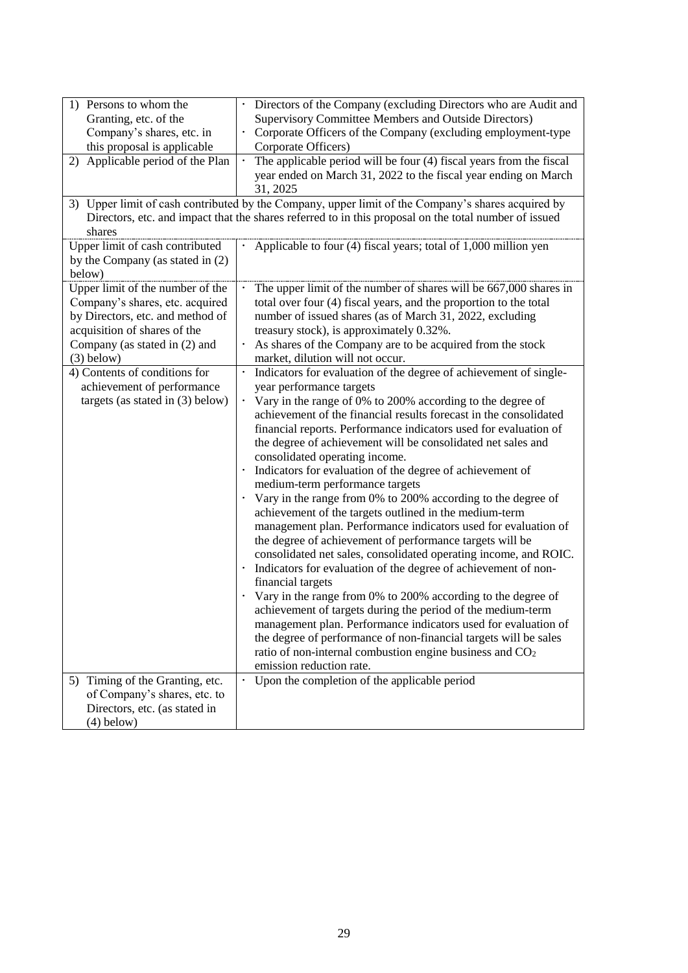| 1) Persons to whom the<br>Granting, etc. of the<br>Company's shares, etc. in<br>this proposal is applicable<br>2) Applicable period of the Plan<br>shares                                                                                                                                     | Directors of the Company (excluding Directors who are Audit and<br>$\bullet$<br>Supervisory Committee Members and Outside Directors)<br>Corporate Officers of the Company (excluding employment-type<br>Corporate Officers)<br>The applicable period will be four (4) fiscal years from the fiscal<br>$\bullet$<br>year ended on March 31, 2022 to the fiscal year ending on March<br>31, 2025<br>3) Upper limit of cash contributed by the Company, upper limit of the Company's shares acquired by<br>Directors, etc. and impact that the shares referred to in this proposal on the total number of issued                                                                                                                                                                                                                                                                                                                                                                                                                                                                                                                                                                                                                                                        |
|-----------------------------------------------------------------------------------------------------------------------------------------------------------------------------------------------------------------------------------------------------------------------------------------------|----------------------------------------------------------------------------------------------------------------------------------------------------------------------------------------------------------------------------------------------------------------------------------------------------------------------------------------------------------------------------------------------------------------------------------------------------------------------------------------------------------------------------------------------------------------------------------------------------------------------------------------------------------------------------------------------------------------------------------------------------------------------------------------------------------------------------------------------------------------------------------------------------------------------------------------------------------------------------------------------------------------------------------------------------------------------------------------------------------------------------------------------------------------------------------------------------------------------------------------------------------------------|
| Upper limit of cash contributed<br>by the Company (as stated in (2)<br>below)                                                                                                                                                                                                                 | Applicable to four (4) fiscal years; total of 1,000 million yen                                                                                                                                                                                                                                                                                                                                                                                                                                                                                                                                                                                                                                                                                                                                                                                                                                                                                                                                                                                                                                                                                                                                                                                                      |
| Upper limit of the number of the<br>Company's shares, etc. acquired<br>by Directors, etc. and method of<br>acquisition of shares of the<br>Company (as stated in (2) and<br>$(3)$ below)<br>4) Contents of conditions for<br>achievement of performance<br>targets (as stated in $(3)$ below) | The upper limit of the number of shares will be 667,000 shares in<br>total over four (4) fiscal years, and the proportion to the total<br>number of issued shares (as of March 31, 2022, excluding<br>treasury stock), is approximately 0.32%.<br>As shares of the Company are to be acquired from the stock<br>market, dilution will not occur.<br>Indicators for evaluation of the degree of achievement of single-<br>year performance targets<br>· Vary in the range of 0% to 200% according to the degree of<br>achievement of the financial results forecast in the consolidated<br>financial reports. Performance indicators used for evaluation of<br>the degree of achievement will be consolidated net sales and<br>consolidated operating income.<br>Indicators for evaluation of the degree of achievement of<br>medium-term performance targets<br>Vary in the range from 0% to 200% according to the degree of<br>٠<br>achievement of the targets outlined in the medium-term<br>management plan. Performance indicators used for evaluation of<br>the degree of achievement of performance targets will be<br>consolidated net sales, consolidated operating income, and ROIC.<br>Indicators for evaluation of the degree of achievement of non-<br>٠ |
| 5) Timing of the Granting, etc.                                                                                                                                                                                                                                                               | financial targets<br>Vary in the range from 0% to 200% according to the degree of<br>achievement of targets during the period of the medium-term<br>management plan. Performance indicators used for evaluation of<br>the degree of performance of non-financial targets will be sales<br>ratio of non-internal combustion engine business and CO <sub>2</sub><br>emission reduction rate.<br>Upon the completion of the applicable period                                                                                                                                                                                                                                                                                                                                                                                                                                                                                                                                                                                                                                                                                                                                                                                                                           |
| of Company's shares, etc. to<br>Directors, etc. (as stated in<br>$(4)$ below)                                                                                                                                                                                                                 |                                                                                                                                                                                                                                                                                                                                                                                                                                                                                                                                                                                                                                                                                                                                                                                                                                                                                                                                                                                                                                                                                                                                                                                                                                                                      |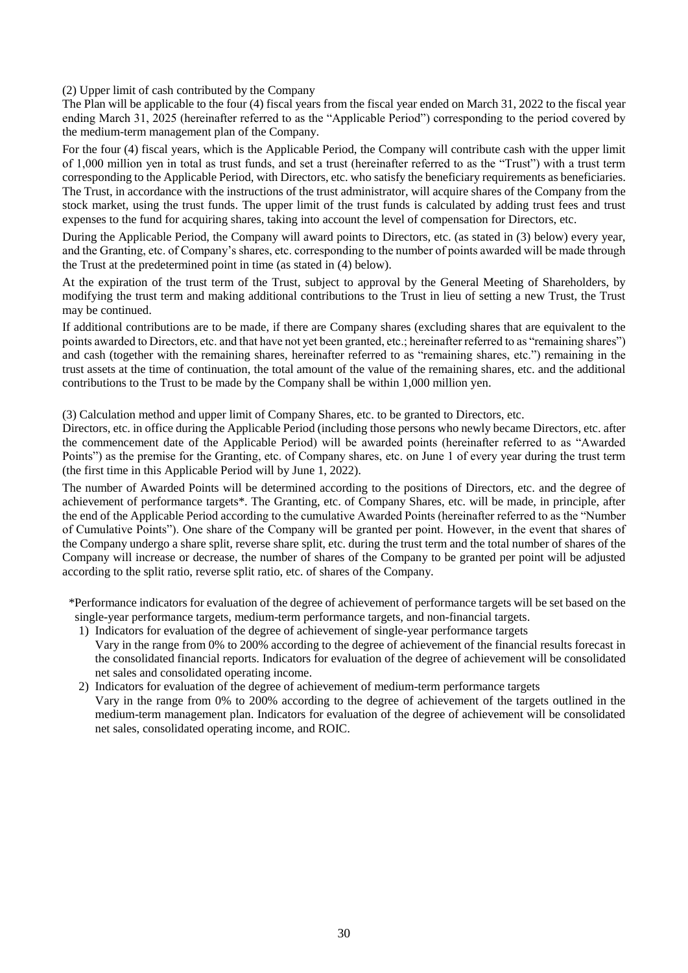(2) Upper limit of cash contributed by the Company

The Plan will be applicable to the four (4) fiscal years from the fiscal year ended on March 31, 2022 to the fiscal year ending March 31, 2025 (hereinafter referred to as the "Applicable Period") corresponding to the period covered by the medium-term management plan of the Company.

For the four (4) fiscal years, which is the Applicable Period, the Company will contribute cash with the upper limit of 1,000 million yen in total as trust funds, and set a trust (hereinafter referred to as the "Trust") with a trust term corresponding to the Applicable Period, with Directors, etc. who satisfy the beneficiary requirements as beneficiaries. The Trust, in accordance with the instructions of the trust administrator, will acquire shares of the Company from the stock market, using the trust funds. The upper limit of the trust funds is calculated by adding trust fees and trust expenses to the fund for acquiring shares, taking into account the level of compensation for Directors, etc.

During the Applicable Period, the Company will award points to Directors, etc. (as stated in (3) below) every year, and the Granting, etc. of Company's shares, etc. corresponding to the number of points awarded will be made through the Trust at the predetermined point in time (as stated in (4) below).

At the expiration of the trust term of the Trust, subject to approval by the General Meeting of Shareholders, by modifying the trust term and making additional contributions to the Trust in lieu of setting a new Trust, the Trust may be continued.

If additional contributions are to be made, if there are Company shares (excluding shares that are equivalent to the points awarded to Directors, etc. and that have not yet been granted, etc.; hereinafter referred to as "remaining shares") and cash (together with the remaining shares, hereinafter referred to as "remaining shares, etc.") remaining in the trust assets at the time of continuation, the total amount of the value of the remaining shares, etc. and the additional contributions to the Trust to be made by the Company shall be within 1,000 million yen.

(3) Calculation method and upper limit of Company Shares, etc. to be granted to Directors, etc.

Directors, etc. in office during the Applicable Period (including those persons who newly became Directors, etc. after the commencement date of the Applicable Period) will be awarded points (hereinafter referred to as "Awarded Points") as the premise for the Granting, etc. of Company shares, etc. on June 1 of every year during the trust term (the first time in this Applicable Period will by June 1, 2022).

The number of Awarded Points will be determined according to the positions of Directors, etc. and the degree of achievement of performance targets\*. The Granting, etc. of Company Shares, etc. will be made, in principle, after the end of the Applicable Period according to the cumulative Awarded Points (hereinafter referred to as the "Number of Cumulative Points"). One share of the Company will be granted per point. However, in the event that shares of the Company undergo a share split, reverse share split, etc. during the trust term and the total number of shares of the Company will increase or decrease, the number of shares of the Company to be granted per point will be adjusted according to the split ratio, reverse split ratio, etc. of shares of the Company.

\*Performance indicators for evaluation of the degree of achievement of performance targets will be set based on the single-year performance targets, medium-term performance targets, and non-financial targets.

1) Indicators for evaluation of the degree of achievement of single-year performance targets

Vary in the range from 0% to 200% according to the degree of achievement of the financial results forecast in the consolidated financial reports. Indicators for evaluation of the degree of achievement will be consolidated net sales and consolidated operating income.

2) Indicators for evaluation of the degree of achievement of medium-term performance targets Vary in the range from 0% to 200% according to the degree of achievement of the targets outlined in the medium-term management plan. Indicators for evaluation of the degree of achievement will be consolidated net sales, consolidated operating income, and ROIC.